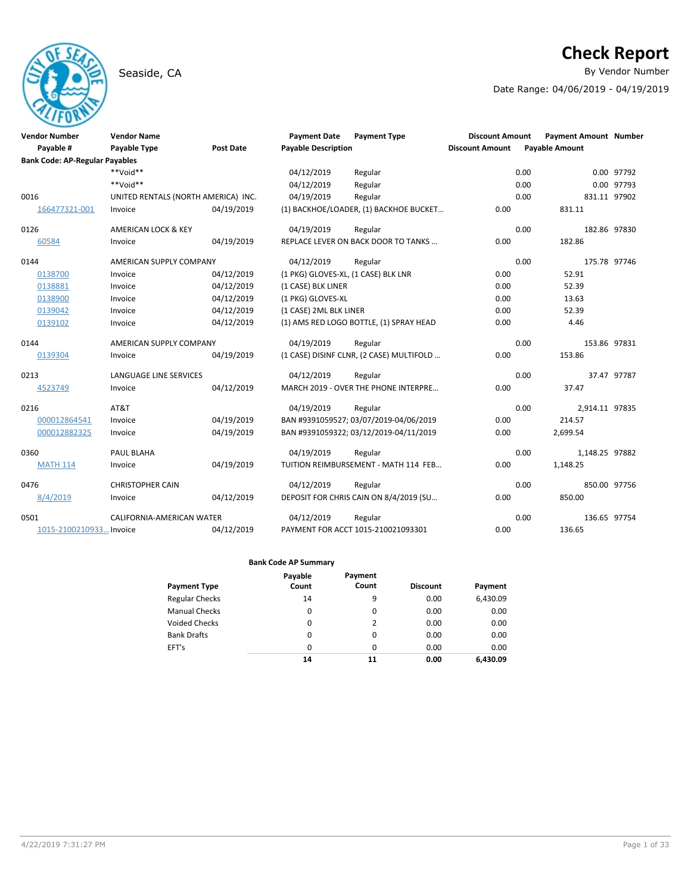# Seaside, CA **By Vendor Number**

# **Check Report**

Date Range: 04/06/2019 - 04/19/2019

| <b>Vendor Number</b><br>Payable #<br><b>Bank Code: AP-Regular Payables</b> | <b>Vendor Name</b><br><b>Payable Type</b> | <b>Post Date</b> | <b>Payment Date</b><br><b>Payable Description</b> | <b>Payment Type</b>                      | <b>Discount Amount</b><br><b>Discount Amount</b> | <b>Payment Amount Number</b><br><b>Payable Amount</b> |                |             |
|----------------------------------------------------------------------------|-------------------------------------------|------------------|---------------------------------------------------|------------------------------------------|--------------------------------------------------|-------------------------------------------------------|----------------|-------------|
|                                                                            | $**$ bioV $**$                            |                  | 04/12/2019                                        | Regular                                  |                                                  | 0.00                                                  |                | 0.00 97792  |
|                                                                            | **Void**                                  |                  | 04/12/2019                                        | Regular                                  |                                                  | 0.00                                                  |                | 0.00 97793  |
| 0016                                                                       | UNITED RENTALS (NORTH AMERICA) INC.       |                  | 04/19/2019                                        | Regular                                  |                                                  | 0.00                                                  | 831.11 97902   |             |
| 166477321-001                                                              | Invoice                                   | 04/19/2019       |                                                   | (1) BACKHOE/LOADER, (1) BACKHOE BUCKET   | 0.00                                             | 831.11                                                |                |             |
| 0126                                                                       | AMERICAN LOCK & KEY                       |                  | 04/19/2019                                        | Regular                                  |                                                  | 0.00                                                  | 182.86 97830   |             |
| 60584                                                                      | Invoice                                   | 04/19/2019       |                                                   | REPLACE LEVER ON BACK DOOR TO TANKS      | 0.00                                             | 182.86                                                |                |             |
| 0144                                                                       | AMERICAN SUPPLY COMPANY                   |                  | 04/12/2019                                        | Regular                                  |                                                  | 0.00                                                  | 175.78 97746   |             |
| 0138700                                                                    | Invoice                                   | 04/12/2019       | (1 PKG) GLOVES-XL, (1 CASE) BLK LNR               |                                          | 0.00                                             | 52.91                                                 |                |             |
| 0138881                                                                    | Invoice                                   | 04/12/2019       | (1 CASE) BLK LINER                                |                                          | 0.00                                             | 52.39                                                 |                |             |
| 0138900                                                                    | Invoice                                   | 04/12/2019       | (1 PKG) GLOVES-XL                                 |                                          | 0.00                                             | 13.63                                                 |                |             |
| 0139042                                                                    | Invoice                                   | 04/12/2019       | (1 CASE) 2ML BLK LINER                            |                                          | 0.00                                             | 52.39                                                 |                |             |
| 0139102                                                                    | Invoice                                   | 04/12/2019       |                                                   | (1) AMS RED LOGO BOTTLE, (1) SPRAY HEAD  | 0.00                                             | 4.46                                                  |                |             |
| 0144                                                                       | AMERICAN SUPPLY COMPANY                   |                  | 04/19/2019                                        | Regular                                  |                                                  | 0.00                                                  | 153.86 97831   |             |
| 0139304                                                                    | Invoice                                   | 04/19/2019       |                                                   | (1 CASE) DISINF CLNR, (2 CASE) MULTIFOLD | 0.00                                             | 153.86                                                |                |             |
| 0213                                                                       | <b>LANGUAGE LINE SERVICES</b>             |                  | 04/12/2019                                        | Regular                                  |                                                  | 0.00                                                  |                | 37.47 97787 |
| 4523749                                                                    | Invoice                                   | 04/12/2019       |                                                   | MARCH 2019 - OVER THE PHONE INTERPRE     | 0.00                                             | 37.47                                                 |                |             |
| 0216                                                                       | AT&T                                      |                  | 04/19/2019                                        | Regular                                  |                                                  | 0.00                                                  | 2,914.11 97835 |             |
| 000012864541                                                               | Invoice                                   | 04/19/2019       |                                                   | BAN #9391059527; 03/07/2019-04/06/2019   | 0.00                                             | 214.57                                                |                |             |
| 000012882325                                                               | Invoice                                   | 04/19/2019       |                                                   | BAN #9391059322; 03/12/2019-04/11/2019   | 0.00                                             | 2,699.54                                              |                |             |
| 0360                                                                       | PAUL BLAHA                                |                  | 04/19/2019                                        | Regular                                  |                                                  | 0.00                                                  | 1,148.25 97882 |             |
| <b>MATH 114</b>                                                            | Invoice                                   | 04/19/2019       |                                                   | TUITION REIMBURSEMENT - MATH 114 FEB     | 0.00                                             | 1,148.25                                              |                |             |
| 0476                                                                       | <b>CHRISTOPHER CAIN</b>                   |                  | 04/12/2019                                        | Regular                                  |                                                  | 0.00                                                  | 850.00 97756   |             |
| 8/4/2019                                                                   | Invoice                                   | 04/12/2019       |                                                   | DEPOSIT FOR CHRIS CAIN ON 8/4/2019 (SU   | 0.00                                             | 850.00                                                |                |             |
| 0501                                                                       | CALIFORNIA-AMERICAN WATER                 |                  | 04/12/2019                                        | Regular                                  |                                                  | 0.00                                                  | 136.65 97754   |             |
| 1015-2100210933 Invoice                                                    |                                           | 04/12/2019       |                                                   | PAYMENT FOR ACCT 1015-210021093301       | 0.00                                             | 136.65                                                |                |             |

|                       | Payable  | Payment  |                 |          |
|-----------------------|----------|----------|-----------------|----------|
| <b>Payment Type</b>   | Count    | Count    | <b>Discount</b> | Payment  |
| <b>Regular Checks</b> | 14       | 9        | 0.00            | 6,430.09 |
| <b>Manual Checks</b>  | 0        | 0        | 0.00            | 0.00     |
| <b>Voided Checks</b>  | 0        | 2        | 0.00            | 0.00     |
| <b>Bank Drafts</b>    | 0        | 0        | 0.00            | 0.00     |
| EFT's                 | $\Omega$ | $\Omega$ | 0.00            | 0.00     |
|                       | 14       | 11       | 0.00            | 6.430.09 |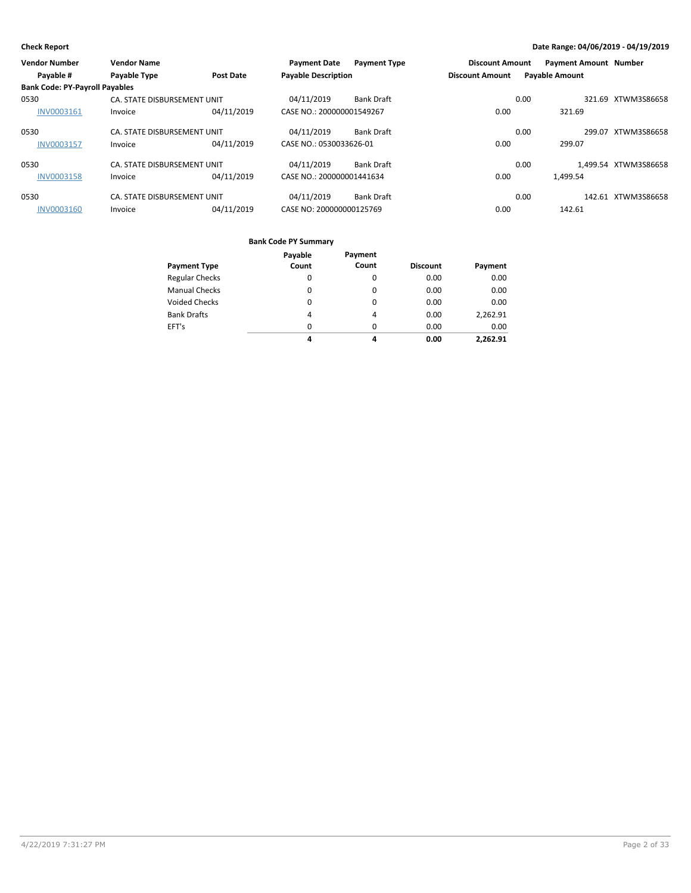| <b>Vendor Number</b>                  | <b>Vendor Name</b>          |                  | <b>Payment Date</b>        | <b>Payment Type</b> | <b>Discount Amount</b> |      | <b>Payment Amount Number</b> |                      |
|---------------------------------------|-----------------------------|------------------|----------------------------|---------------------|------------------------|------|------------------------------|----------------------|
| Payable #                             | Payable Type                | <b>Post Date</b> | <b>Payable Description</b> |                     | <b>Discount Amount</b> |      | <b>Payable Amount</b>        |                      |
| <b>Bank Code: PY-Payroll Payables</b> |                             |                  |                            |                     |                        |      |                              |                      |
| 0530                                  | CA. STATE DISBURSEMENT UNIT |                  | 04/11/2019                 | <b>Bank Draft</b>   |                        | 0.00 |                              | 321.69 XTWM3S86658   |
| <b>INV0003161</b>                     | Invoice                     | 04/11/2019       | CASE NO.: 200000001549267  |                     | 0.00                   |      | 321.69                       |                      |
| 0530                                  | CA. STATE DISBURSEMENT UNIT |                  | 04/11/2019                 | <b>Bank Draft</b>   |                        | 0.00 |                              | 299.07 XTWM3S86658   |
| <b>INV0003157</b>                     | Invoice                     | 04/11/2019       | CASE NO.: 0530033626-01    |                     | 0.00                   |      | 299.07                       |                      |
| 0530                                  | CA. STATE DISBURSEMENT UNIT |                  | 04/11/2019                 | <b>Bank Draft</b>   |                        | 0.00 |                              | 1.499.54 XTWM3S86658 |
| <b>INV0003158</b>                     | Invoice                     | 04/11/2019       | CASE NO.: 200000001441634  |                     | 0.00                   |      | 1,499.54                     |                      |
| 0530                                  | CA. STATE DISBURSEMENT UNIT |                  | 04/11/2019                 | <b>Bank Draft</b>   |                        | 0.00 |                              | 142.61 XTWM3S86658   |
| INV0003160                            | Invoice                     | 04/11/2019       | CASE NO: 200000000125769   |                     | 0.00                   |      | 142.61                       |                      |

|                       | Payable        | Payment        |                 |          |
|-----------------------|----------------|----------------|-----------------|----------|
| <b>Payment Type</b>   | Count          | Count          | <b>Discount</b> | Payment  |
| <b>Regular Checks</b> | $\Omega$       | 0              | 0.00            | 0.00     |
| <b>Manual Checks</b>  | $\Omega$       | 0              | 0.00            | 0.00     |
| <b>Voided Checks</b>  | $\Omega$       | $\Omega$       | 0.00            | 0.00     |
| <b>Bank Drafts</b>    | $\overline{4}$ | $\overline{4}$ | 0.00            | 2,262.91 |
| EFT's                 | $\Omega$       | $\Omega$       | 0.00            | 0.00     |
|                       | 4              | 4              | 0.00            | 2.262.91 |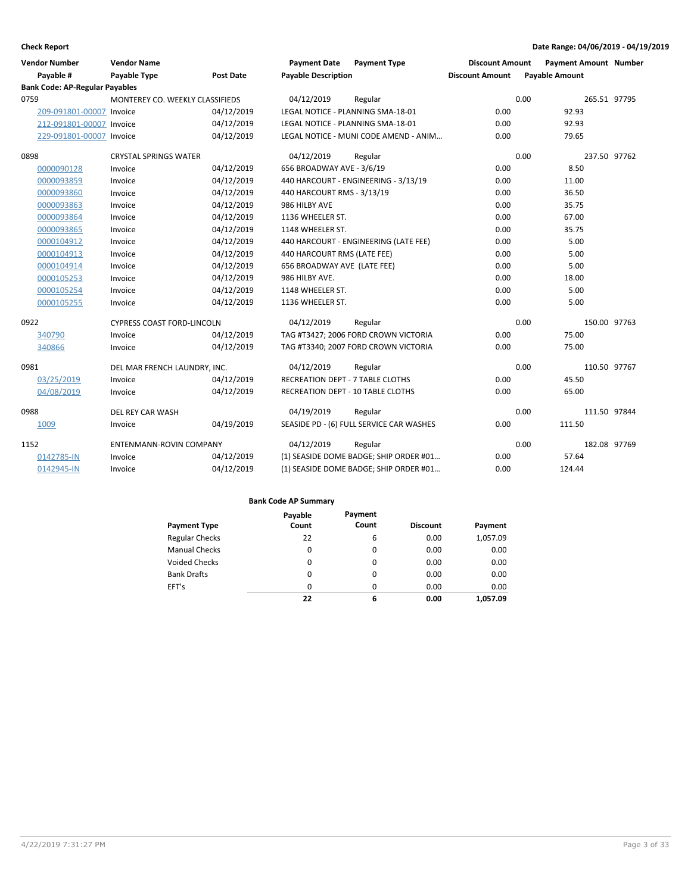| <b>Vendor Number</b><br>Payable #     | <b>Vendor Name</b><br><b>Payable Type</b> | <b>Post Date</b> | <b>Payment Date</b><br><b>Payable Description</b> | <b>Payment Type</b>                      | <b>Discount Amount</b><br><b>Discount Amount</b> | <b>Payment Amount Number</b><br><b>Payable Amount</b> |              |
|---------------------------------------|-------------------------------------------|------------------|---------------------------------------------------|------------------------------------------|--------------------------------------------------|-------------------------------------------------------|--------------|
| <b>Bank Code: AP-Regular Payables</b> |                                           |                  |                                                   |                                          |                                                  |                                                       |              |
| 0759                                  | MONTEREY CO. WEEKLY CLASSIFIEDS           |                  | 04/12/2019                                        | Regular                                  |                                                  | 0.00                                                  | 265.51 97795 |
| 209-091801-00007 Invoice              |                                           | 04/12/2019       | LEGAL NOTICE - PLANNING SMA-18-01                 |                                          | 0.00                                             | 92.93                                                 |              |
| 212-091801-00007 Invoice              |                                           | 04/12/2019       | LEGAL NOTICE - PLANNING SMA-18-01                 |                                          | 0.00                                             | 92.93                                                 |              |
| 229-091801-00007 Invoice              |                                           | 04/12/2019       |                                                   | LEGAL NOTICE - MUNI CODE AMEND - ANIM    | 0.00                                             | 79.65                                                 |              |
| 0898                                  | <b>CRYSTAL SPRINGS WATER</b>              |                  | 04/12/2019                                        | Regular                                  |                                                  | 0.00                                                  | 237.50 97762 |
| 0000090128                            | Invoice                                   | 04/12/2019       | 656 BROADWAY AVE - 3/6/19                         |                                          | 0.00                                             | 8.50                                                  |              |
| 0000093859                            | Invoice                                   | 04/12/2019       |                                                   | 440 HARCOURT - ENGINEERING - 3/13/19     | 0.00                                             | 11.00                                                 |              |
| 0000093860                            | Invoice                                   | 04/12/2019       | 440 HARCOURT RMS - 3/13/19                        |                                          | 0.00                                             | 36.50                                                 |              |
| 0000093863                            | Invoice                                   | 04/12/2019       | 986 HILBY AVE                                     |                                          | 0.00                                             | 35.75                                                 |              |
| 0000093864                            | Invoice                                   | 04/12/2019       | 1136 WHEELER ST.                                  |                                          | 0.00                                             | 67.00                                                 |              |
| 0000093865                            | Invoice                                   | 04/12/2019       | 1148 WHEELER ST.                                  |                                          | 0.00                                             | 35.75                                                 |              |
| 0000104912                            | Invoice                                   | 04/12/2019       |                                                   | 440 HARCOURT - ENGINEERING (LATE FEE)    | 0.00                                             | 5.00                                                  |              |
| 0000104913                            | Invoice                                   | 04/12/2019       | 440 HARCOURT RMS (LATE FEE)                       |                                          | 0.00                                             | 5.00                                                  |              |
| 0000104914                            | Invoice                                   | 04/12/2019       | 656 BROADWAY AVE (LATE FEE)                       |                                          | 0.00                                             | 5.00                                                  |              |
| 0000105253                            | Invoice                                   | 04/12/2019       | 986 HILBY AVE.                                    |                                          | 0.00                                             | 18.00                                                 |              |
| 0000105254                            | Invoice                                   | 04/12/2019       | 1148 WHEELER ST.                                  |                                          | 0.00                                             | 5.00                                                  |              |
| 0000105255                            | Invoice                                   | 04/12/2019       | 1136 WHEELER ST.                                  |                                          | 0.00                                             | 5.00                                                  |              |
| 0922                                  | <b>CYPRESS COAST FORD-LINCOLN</b>         |                  | 04/12/2019                                        | Regular                                  |                                                  | 0.00<br>150.00 97763                                  |              |
| 340790                                | Invoice                                   | 04/12/2019       |                                                   | TAG #T3427; 2006 FORD CROWN VICTORIA     | 0.00                                             | 75.00                                                 |              |
| 340866                                | Invoice                                   | 04/12/2019       |                                                   | TAG #T3340; 2007 FORD CROWN VICTORIA     | 0.00                                             | 75.00                                                 |              |
| 0981                                  | DEL MAR FRENCH LAUNDRY, INC.              |                  | 04/12/2019                                        | Regular                                  |                                                  | 0.00<br>110.50 97767                                  |              |
| 03/25/2019                            | Invoice                                   | 04/12/2019       | <b>RECREATION DEPT - 7 TABLE CLOTHS</b>           |                                          | 0.00                                             | 45.50                                                 |              |
| 04/08/2019                            | Invoice                                   | 04/12/2019       | <b>RECREATION DEPT - 10 TABLE CLOTHS</b>          |                                          | 0.00                                             | 65.00                                                 |              |
| 0988                                  | DEL REY CAR WASH                          |                  | 04/19/2019                                        | Regular                                  |                                                  | 0.00<br>111.50 97844                                  |              |
| 1009                                  | Invoice                                   | 04/19/2019       |                                                   | SEASIDE PD - (6) FULL SERVICE CAR WASHES | 0.00                                             | 111.50                                                |              |
| 1152                                  | <b>ENTENMANN-ROVIN COMPANY</b>            |                  | 04/12/2019                                        | Regular                                  |                                                  | 0.00<br>182.08 97769                                  |              |
| 0142785-IN                            | Invoice                                   | 04/12/2019       |                                                   | (1) SEASIDE DOME BADGE; SHIP ORDER #01   | 0.00                                             | 57.64                                                 |              |
| 0142945-IN                            | Invoice                                   | 04/12/2019       |                                                   | (1) SEASIDE DOME BADGE; SHIP ORDER #01   | 0.00                                             | 124.44                                                |              |

|                       | Payable  | Payment  |                 |          |
|-----------------------|----------|----------|-----------------|----------|
| <b>Payment Type</b>   | Count    | Count    | <b>Discount</b> | Payment  |
| <b>Regular Checks</b> | 22       | 6        | 0.00            | 1,057.09 |
| <b>Manual Checks</b>  | 0        | 0        | 0.00            | 0.00     |
| <b>Voided Checks</b>  | 0        | 0        | 0.00            | 0.00     |
| <b>Bank Drafts</b>    | 0        | $\Omega$ | 0.00            | 0.00     |
| EFT's                 | $\Omega$ | $\Omega$ | 0.00            | 0.00     |
|                       | 22       | 6        | 0.00            | 1.057.09 |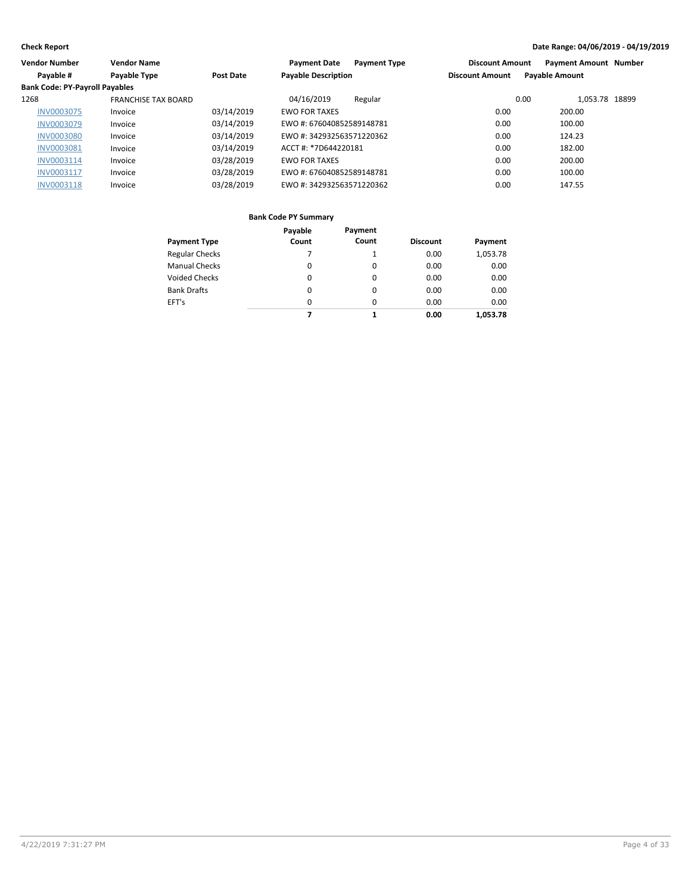| <b>Vendor Number</b>                  | <b>Vendor Name</b>         |                  | <b>Payment Date</b><br><b>Payment Type</b> | <b>Discount Amount</b> | <b>Payment Amount Number</b> |
|---------------------------------------|----------------------------|------------------|--------------------------------------------|------------------------|------------------------------|
| Payable #                             | Payable Type               | <b>Post Date</b> | <b>Payable Description</b>                 | <b>Discount Amount</b> | <b>Payable Amount</b>        |
| <b>Bank Code: PY-Payroll Payables</b> |                            |                  |                                            |                        |                              |
| 1268                                  | <b>FRANCHISE TAX BOARD</b> |                  | 04/16/2019<br>Regular                      | 0.00                   | 1.053.78 18899               |
| <b>INV0003075</b>                     | Invoice                    | 03/14/2019       | <b>EWO FOR TAXES</b>                       | 0.00                   | 200.00                       |
| <b>INV0003079</b>                     | Invoice                    | 03/14/2019       | EWO #: 676040852589148781                  | 0.00                   | 100.00                       |
| <b>INV0003080</b>                     | Invoice                    | 03/14/2019       | EWO #: 342932563571220362                  | 0.00                   | 124.23                       |
| <b>INV0003081</b>                     | Invoice                    | 03/14/2019       | ACCT #: *7D644220181                       | 0.00                   | 182.00                       |
| INV0003114                            | Invoice                    | 03/28/2019       | <b>EWO FOR TAXES</b>                       | 0.00                   | 200.00                       |
| INV0003117                            | Invoice                    | 03/28/2019       | EWO #: 676040852589148781                  | 0.00                   | 100.00                       |
| <b>INV0003118</b>                     | Invoice                    | 03/28/2019       | EWO #: 342932563571220362                  | 0.00                   | 147.55                       |

|                       | Payable | Payment  |                 |          |
|-----------------------|---------|----------|-----------------|----------|
| <b>Payment Type</b>   | Count   | Count    | <b>Discount</b> | Payment  |
| <b>Regular Checks</b> |         | 1        | 0.00            | 1,053.78 |
| <b>Manual Checks</b>  | 0       | 0        | 0.00            | 0.00     |
| <b>Voided Checks</b>  | 0       | 0        | 0.00            | 0.00     |
| <b>Bank Drafts</b>    | 0       | 0        | 0.00            | 0.00     |
| EFT's                 | 0       | $\Omega$ | 0.00            | 0.00     |
|                       | 7       | 1        | 0.00            | 1.053.78 |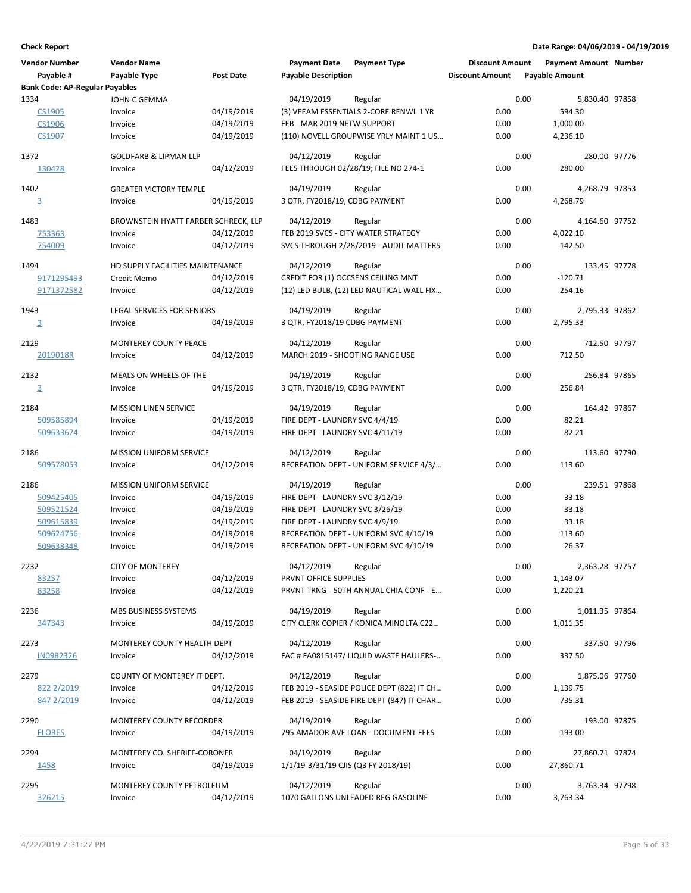| <b>Vendor Number</b>                  | <b>Vendor Name</b>                   |                  | <b>Payment Date</b>                 | <b>Payment Type</b>                        | <b>Discount Amount</b> |      | <b>Payment Amount Number</b> |  |
|---------------------------------------|--------------------------------------|------------------|-------------------------------------|--------------------------------------------|------------------------|------|------------------------------|--|
| Payable #                             | Payable Type                         | <b>Post Date</b> | <b>Payable Description</b>          |                                            | <b>Discount Amount</b> |      | <b>Payable Amount</b>        |  |
| <b>Bank Code: AP-Regular Payables</b> |                                      |                  |                                     |                                            |                        |      |                              |  |
| 1334                                  | JOHN C GEMMA                         |                  | 04/19/2019                          | Regular                                    |                        | 0.00 | 5,830.40 97858               |  |
| <b>CS1905</b>                         | Invoice                              | 04/19/2019       |                                     | (3) VEEAM ESSENTIALS 2-CORE RENWL 1 YR     | 0.00                   |      | 594.30                       |  |
| CS1906                                | Invoice                              | 04/19/2019       | FEB - MAR 2019 NETW SUPPORT         |                                            | 0.00                   |      | 1,000.00                     |  |
| CS1907                                | Invoice                              | 04/19/2019       |                                     | (110) NOVELL GROUPWISE YRLY MAINT 1 US     | 0.00                   |      | 4,236.10                     |  |
|                                       |                                      |                  |                                     |                                            |                        |      |                              |  |
| 1372                                  | <b>GOLDFARB &amp; LIPMAN LLP</b>     |                  | 04/12/2019                          | Regular                                    |                        | 0.00 | 280.00 97776                 |  |
| 130428                                | Invoice                              | 04/12/2019       |                                     | FEES THROUGH 02/28/19; FILE NO 274-1       | 0.00                   |      | 280.00                       |  |
| 1402                                  | <b>GREATER VICTORY TEMPLE</b>        |                  | 04/19/2019                          |                                            |                        | 0.00 | 4,268.79 97853               |  |
|                                       |                                      |                  |                                     | Regular                                    | 0.00                   |      |                              |  |
| $\overline{3}$                        | Invoice                              | 04/19/2019       | 3 QTR, FY2018/19, CDBG PAYMENT      |                                            |                        |      | 4,268.79                     |  |
| 1483                                  | BROWNSTEIN HYATT FARBER SCHRECK, LLP |                  | 04/12/2019                          | Regular                                    |                        | 0.00 | 4,164.60 97752               |  |
| 753363                                | Invoice                              | 04/12/2019       |                                     | FEB 2019 SVCS - CITY WATER STRATEGY        | 0.00                   |      | 4,022.10                     |  |
| 754009                                | Invoice                              | 04/12/2019       |                                     | SVCS THROUGH 2/28/2019 - AUDIT MATTERS     | 0.00                   |      | 142.50                       |  |
|                                       |                                      |                  |                                     |                                            |                        |      |                              |  |
| 1494                                  | HD SUPPLY FACILITIES MAINTENANCE     |                  | 04/12/2019                          | Regular                                    |                        | 0.00 | 133.45 97778                 |  |
| 9171295493                            | Credit Memo                          | 04/12/2019       |                                     | CREDIT FOR (1) OCCSENS CEILING MNT         | 0.00                   |      | $-120.71$                    |  |
| 9171372582                            | Invoice                              | 04/12/2019       |                                     | (12) LED BULB, (12) LED NAUTICAL WALL FIX  | 0.00                   |      | 254.16                       |  |
|                                       |                                      |                  |                                     |                                            |                        |      |                              |  |
| 1943                                  | <b>LEGAL SERVICES FOR SENIORS</b>    |                  | 04/19/2019                          | Regular                                    |                        | 0.00 | 2,795.33 97862               |  |
| $\overline{3}$                        | Invoice                              | 04/19/2019       | 3 QTR, FY2018/19 CDBG PAYMENT       |                                            | 0.00                   |      | 2.795.33                     |  |
| 2129                                  | <b>MONTEREY COUNTY PEACE</b>         |                  | 04/12/2019                          | Regular                                    |                        | 0.00 | 712.50 97797                 |  |
| 2019018R                              | Invoice                              | 04/12/2019       | MARCH 2019 - SHOOTING RANGE USE     |                                            | 0.00                   |      | 712.50                       |  |
|                                       |                                      |                  |                                     |                                            |                        |      |                              |  |
| 2132                                  | MEALS ON WHEELS OF THE               |                  | 04/19/2019                          | Regular                                    |                        | 0.00 | 256.84 97865                 |  |
| $\overline{3}$                        | Invoice                              | 04/19/2019       | 3 QTR, FY2018/19, CDBG PAYMENT      |                                            | 0.00                   |      | 256.84                       |  |
|                                       |                                      |                  |                                     |                                            |                        |      |                              |  |
| 2184                                  | <b>MISSION LINEN SERVICE</b>         |                  | 04/19/2019                          | Regular                                    |                        | 0.00 | 164.42 97867                 |  |
| 509585894                             | Invoice                              | 04/19/2019       | FIRE DEPT - LAUNDRY SVC 4/4/19      |                                            | 0.00                   |      | 82.21                        |  |
| 509633674                             | Invoice                              | 04/19/2019       | FIRE DEPT - LAUNDRY SVC 4/11/19     |                                            | 0.00                   |      | 82.21                        |  |
| 2186                                  | <b>MISSION UNIFORM SERVICE</b>       |                  | 04/12/2019                          | Regular                                    |                        | 0.00 | 113.60 97790                 |  |
| 509578053                             | Invoice                              | 04/12/2019       |                                     | RECREATION DEPT - UNIFORM SERVICE 4/3/     | 0.00                   |      | 113.60                       |  |
|                                       |                                      |                  |                                     |                                            |                        |      |                              |  |
| 2186                                  | <b>MISSION UNIFORM SERVICE</b>       |                  | 04/19/2019                          | Regular                                    |                        | 0.00 | 239.51 97868                 |  |
| 509425405                             | Invoice                              | 04/19/2019       | FIRE DEPT - LAUNDRY SVC 3/12/19     |                                            | 0.00                   |      | 33.18                        |  |
| 509521524                             | Invoice                              | 04/19/2019       | FIRE DEPT - LAUNDRY SVC 3/26/19     |                                            | 0.00                   |      | 33.18                        |  |
| 509615839                             | Invoice                              | 04/19/2019       | FIRE DEPT - LAUNDRY SVC 4/9/19      |                                            | 0.00                   |      | 33.18                        |  |
| 509624756                             | Invoice                              | 04/19/2019       |                                     | RECREATION DEPT - UNIFORM SVC 4/10/19      | 0.00                   |      | 113.60                       |  |
| 509638348                             | Invoice                              | 04/19/2019       |                                     | RECREATION DEPT - UNIFORM SVC 4/10/19      | 0.00                   |      | 26.37                        |  |
|                                       |                                      |                  |                                     |                                            |                        |      |                              |  |
| 2232                                  | <b>CITY OF MONTEREY</b>              |                  | 04/12/2019                          | Regular                                    |                        | 0.00 | 2,363.28 97757               |  |
| 83257                                 | Invoice                              | 04/12/2019       | PRVNT OFFICE SUPPLIES               |                                            | 0.00                   |      | 1,143.07                     |  |
| 83258                                 | Invoice                              | 04/12/2019       |                                     | PRVNT TRNG - 50TH ANNUAL CHIA CONF - E     | 0.00                   |      | 1,220.21                     |  |
| 2236                                  | MBS BUSINESS SYSTEMS                 |                  | 04/19/2019                          | Regular                                    |                        | 0.00 | 1,011.35 97864               |  |
| 347343                                | Invoice                              | 04/19/2019       |                                     | CITY CLERK COPIER / KONICA MINOLTA C22     | 0.00                   |      | 1,011.35                     |  |
|                                       |                                      |                  |                                     |                                            |                        |      |                              |  |
| 2273                                  | MONTEREY COUNTY HEALTH DEPT          |                  | 04/12/2019                          | Regular                                    |                        | 0.00 | 337.50 97796                 |  |
| IN0982326                             | Invoice                              | 04/12/2019       |                                     | FAC # FA0815147/ LIQUID WASTE HAULERS-     | 0.00                   |      | 337.50                       |  |
|                                       |                                      |                  |                                     |                                            |                        |      |                              |  |
| 2279                                  | COUNTY OF MONTEREY IT DEPT.          |                  | 04/12/2019                          | Regular                                    |                        | 0.00 | 1,875.06 97760               |  |
| 822 2/2019                            | Invoice                              | 04/12/2019       |                                     | FEB 2019 - SEASIDE POLICE DEPT (822) IT CH | 0.00                   |      | 1,139.75                     |  |
| 847 2/2019                            | Invoice                              | 04/12/2019       |                                     | FEB 2019 - SEASIDE FIRE DEPT (847) IT CHAR | 0.00                   |      | 735.31                       |  |
|                                       |                                      |                  | 04/19/2019                          |                                            |                        | 0.00 | 193.00 97875                 |  |
| 2290                                  | MONTEREY COUNTY RECORDER             |                  |                                     | Regular                                    |                        |      |                              |  |
| <b>FLORES</b>                         | Invoice                              | 04/19/2019       |                                     | 795 AMADOR AVE LOAN - DOCUMENT FEES        | 0.00                   |      | 193.00                       |  |
| 2294                                  | MONTEREY CO. SHERIFF-CORONER         |                  | 04/19/2019                          | Regular                                    |                        | 0.00 | 27,860.71 97874              |  |
| 1458                                  | Invoice                              | 04/19/2019       | 1/1/19-3/31/19 CJIS (Q3 FY 2018/19) |                                            | 0.00                   |      | 27,860.71                    |  |
|                                       |                                      |                  |                                     |                                            |                        |      |                              |  |
| 2295                                  | MONTEREY COUNTY PETROLEUM            |                  | 04/12/2019                          | Regular                                    |                        | 0.00 | 3,763.34 97798               |  |
| 326215                                | Invoice                              | 04/12/2019       |                                     | 1070 GALLONS UNLEADED REG GASOLINE         | 0.00                   |      | 3,763.34                     |  |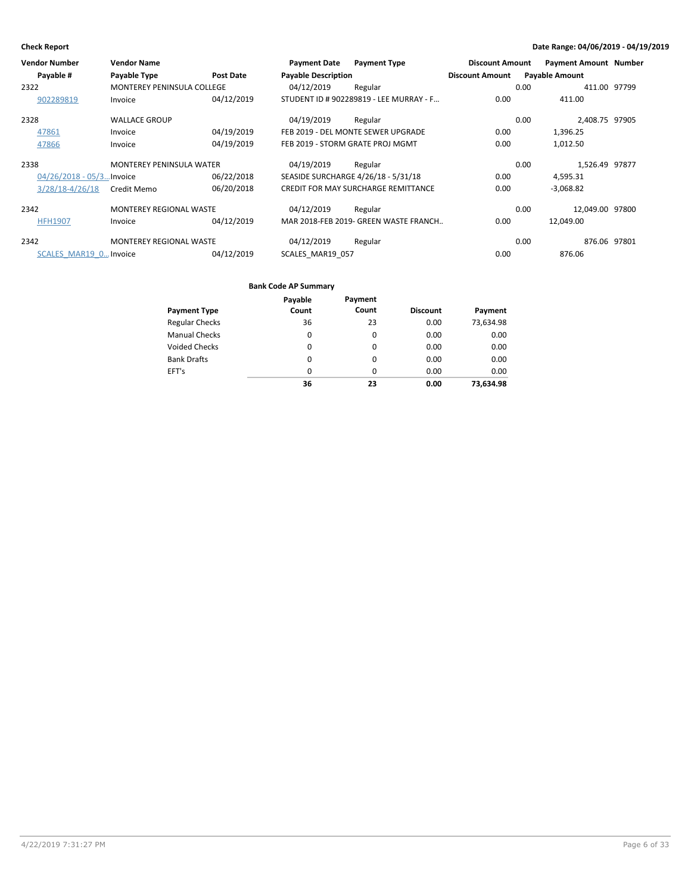| <b>Vendor Number</b>      | <b>Vendor Name</b>                |                  | <b>Payment Date</b>        | <b>Payment Type</b>                        | <b>Discount Amount</b> | <b>Payment Amount Number</b> |              |
|---------------------------|-----------------------------------|------------------|----------------------------|--------------------------------------------|------------------------|------------------------------|--------------|
| Payable #                 | Payable Type                      | <b>Post Date</b> | <b>Payable Description</b> |                                            | <b>Discount Amount</b> | <b>Payable Amount</b>        |              |
| 2322                      | <b>MONTEREY PENINSULA COLLEGE</b> |                  | 04/12/2019                 | Regular                                    |                        | 0.00                         | 411.00 97799 |
| 902289819                 | Invoice                           | 04/12/2019       |                            | STUDENT ID # 902289819 - LEE MURRAY - F    | 0.00                   | 411.00                       |              |
| 2328                      | <b>WALLACE GROUP</b>              |                  | 04/19/2019                 | Regular                                    |                        | 2,408.75 97905<br>0.00       |              |
| 47861                     | Invoice                           | 04/19/2019       |                            | FEB 2019 - DEL MONTE SEWER UPGRADE         | 0.00                   | 1,396.25                     |              |
| 47866                     | Invoice                           | 04/19/2019       |                            | FEB 2019 - STORM GRATE PROJ MGMT           | 0.00                   | 1,012.50                     |              |
| 2338                      | <b>MONTEREY PENINSULA WATER</b>   |                  | 04/19/2019                 | Regular                                    |                        | 0.00<br>1,526.49 97877       |              |
| 04/26/2018 - 05/3 Invoice |                                   | 06/22/2018       |                            | SEASIDE SURCHARGE 4/26/18 - 5/31/18        | 0.00                   | 4,595.31                     |              |
| 3/28/18-4/26/18           | Credit Memo                       | 06/20/2018       |                            | <b>CREDIT FOR MAY SURCHARGE REMITTANCE</b> | 0.00                   | $-3,068.82$                  |              |
| 2342                      | <b>MONTEREY REGIONAL WASTE</b>    |                  | 04/12/2019                 | Regular                                    |                        | 12.049.00 97800<br>0.00      |              |
| <b>HFH1907</b>            | Invoice                           | 04/12/2019       |                            | MAR 2018-FEB 2019- GREEN WASTE FRANCH      | 0.00                   | 12,049.00                    |              |
| 2342                      | <b>MONTEREY REGIONAL WASTE</b>    |                  | 04/12/2019                 | Regular                                    |                        | 0.00                         | 876.06 97801 |
| SCALES MAR19 0 Invoice    |                                   | 04/12/2019       | SCALES MAR19 057           |                                            | 0.00                   | 876.06                       |              |

| <b>Payment Type</b>   | Payable<br>Count | Payment<br>Count | <b>Discount</b> | Payment   |
|-----------------------|------------------|------------------|-----------------|-----------|
| <b>Regular Checks</b> | 36               | 23               | 0.00            | 73,634.98 |
| <b>Manual Checks</b>  | 0                | 0                | 0.00            | 0.00      |
| <b>Voided Checks</b>  | $\Omega$         | $\Omega$         | 0.00            | 0.00      |
| <b>Bank Drafts</b>    | 0                | $\Omega$         | 0.00            | 0.00      |
| EFT's                 | 0                | 0                | 0.00            | 0.00      |
|                       | 36               | 23               | 0.00            | 73.634.98 |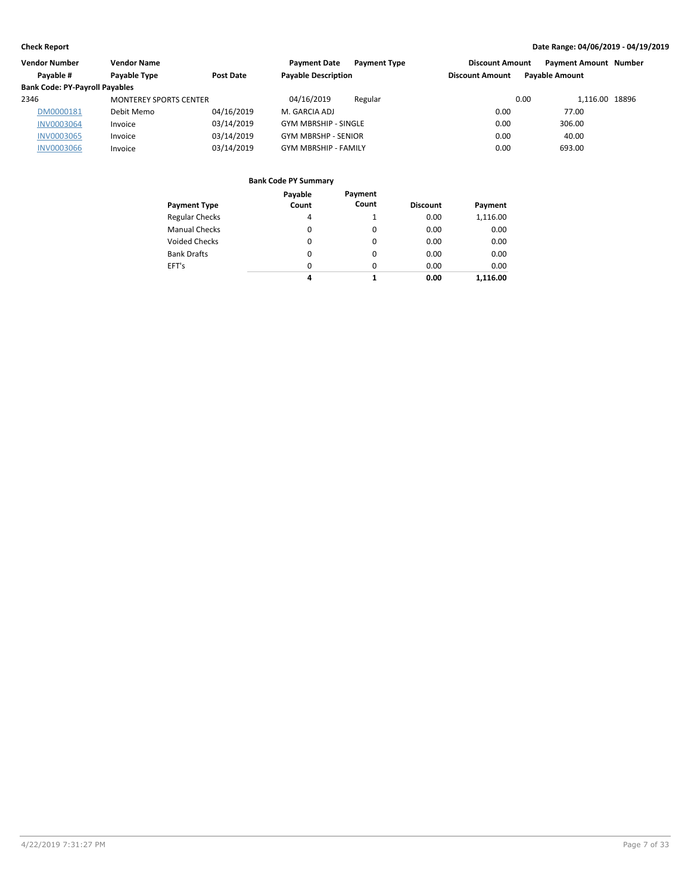| <b>Vendor Number</b>                  | <b>Vendor Name</b>            |            | <b>Payment Date</b><br><b>Payment Type</b> | <b>Discount Amount</b> | <b>Payment Amount Number</b> |  |
|---------------------------------------|-------------------------------|------------|--------------------------------------------|------------------------|------------------------------|--|
| Payable #                             | Payable Type                  | Post Date  | <b>Payable Description</b>                 | <b>Discount Amount</b> | <b>Payable Amount</b>        |  |
| <b>Bank Code: PY-Payroll Payables</b> |                               |            |                                            |                        |                              |  |
| 2346                                  | <b>MONTEREY SPORTS CENTER</b> |            | 04/16/2019<br>Regular                      | 0.00                   | 1.116.00 18896               |  |
| DM0000181                             | Debit Memo                    | 04/16/2019 | M. GARCIA ADJ                              | 0.00                   | 77.00                        |  |
| <b>INV0003064</b>                     | Invoice                       | 03/14/2019 | <b>GYM MBRSHIP - SINGLE</b>                | 0.00                   | 306.00                       |  |
| <b>INV0003065</b>                     | Invoice                       | 03/14/2019 | <b>GYM MBRSHP - SENIOR</b>                 | 0.00                   | 40.00                        |  |
| <b>INV0003066</b>                     | Invoice                       | 03/14/2019 | <b>GYM MBRSHIP - FAMILY</b>                | 0.00                   | 693.00                       |  |

| <b>Payment Type</b>   | Payable<br>Count | Payment<br>Count | <b>Discount</b> |          |
|-----------------------|------------------|------------------|-----------------|----------|
|                       |                  |                  |                 | Payment  |
| <b>Regular Checks</b> | 4                |                  | 0.00            | 1,116.00 |
| <b>Manual Checks</b>  | 0                | 0                | 0.00            | 0.00     |
| <b>Voided Checks</b>  | 0                | 0                | 0.00            | 0.00     |
| <b>Bank Drafts</b>    | 0                | 0                | 0.00            | 0.00     |
| EFT's                 | 0                | 0                | 0.00            | 0.00     |
|                       | 4                | 1                | 0.00            | 1.116.00 |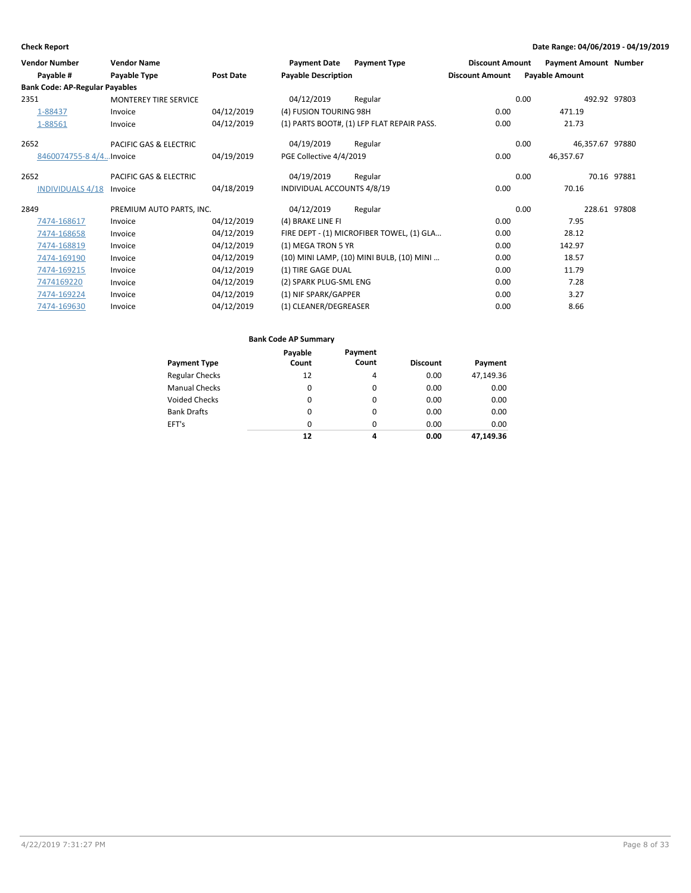| <b>Vendor Name</b>                    |                  | <b>Payment Date</b>      | <b>Payment Type</b> |                                                                                                                                                                                                                                                                                                                                                                              |                       |                                                                                                   |
|---------------------------------------|------------------|--------------------------|---------------------|------------------------------------------------------------------------------------------------------------------------------------------------------------------------------------------------------------------------------------------------------------------------------------------------------------------------------------------------------------------------------|-----------------------|---------------------------------------------------------------------------------------------------|
| Payable Type                          | <b>Post Date</b> |                          |                     | <b>Discount Amount</b>                                                                                                                                                                                                                                                                                                                                                       | <b>Payable Amount</b> |                                                                                                   |
| <b>Bank Code: AP-Regular Payables</b> |                  |                          |                     |                                                                                                                                                                                                                                                                                                                                                                              |                       |                                                                                                   |
| <b>MONTEREY TIRE SERVICE</b>          |                  | 04/12/2019               | Regular             |                                                                                                                                                                                                                                                                                                                                                                              |                       | 492.92 97803                                                                                      |
| Invoice                               | 04/12/2019       |                          |                     | 0.00                                                                                                                                                                                                                                                                                                                                                                         | 471.19                |                                                                                                   |
| Invoice                               | 04/12/2019       |                          |                     | 0.00                                                                                                                                                                                                                                                                                                                                                                         | 21.73                 |                                                                                                   |
| PACIFIC GAS & ELECTRIC                |                  | 04/19/2019               | Regular             |                                                                                                                                                                                                                                                                                                                                                                              | 0.00                  |                                                                                                   |
| 8460074755-8 4/4Invoice               | 04/19/2019       |                          |                     | 0.00                                                                                                                                                                                                                                                                                                                                                                         | 46,357.67             |                                                                                                   |
| PACIFIC GAS & ELECTRIC                |                  | 04/19/2019               | Regular             |                                                                                                                                                                                                                                                                                                                                                                              |                       | 70.16 97881                                                                                       |
| Invoice                               | 04/18/2019       |                          |                     | 0.00                                                                                                                                                                                                                                                                                                                                                                         | 70.16                 |                                                                                                   |
|                                       |                  | 04/12/2019               | Regular             |                                                                                                                                                                                                                                                                                                                                                                              |                       | 228.61 97808                                                                                      |
| Invoice                               | 04/12/2019       | (4) BRAKE LINE FI        |                     | 0.00                                                                                                                                                                                                                                                                                                                                                                         | 7.95                  |                                                                                                   |
| Invoice                               | 04/12/2019       |                          |                     | 0.00                                                                                                                                                                                                                                                                                                                                                                         | 28.12                 |                                                                                                   |
| Invoice                               | 04/12/2019       |                          |                     | 0.00                                                                                                                                                                                                                                                                                                                                                                         | 142.97                |                                                                                                   |
| Invoice                               | 04/12/2019       |                          |                     | 0.00                                                                                                                                                                                                                                                                                                                                                                         | 18.57                 |                                                                                                   |
| Invoice                               | 04/12/2019       |                          |                     | 0.00                                                                                                                                                                                                                                                                                                                                                                         | 11.79                 |                                                                                                   |
| Invoice                               | 04/12/2019       |                          |                     | 0.00                                                                                                                                                                                                                                                                                                                                                                         | 7.28                  |                                                                                                   |
| Invoice                               | 04/12/2019       |                          |                     | 0.00                                                                                                                                                                                                                                                                                                                                                                         | 3.27                  |                                                                                                   |
| Invoice                               | 04/12/2019       |                          |                     | 0.00                                                                                                                                                                                                                                                                                                                                                                         | 8.66                  |                                                                                                   |
|                                       |                  | PREMIUM AUTO PARTS, INC. |                     | <b>Payable Description</b><br>(4) FUSION TOURING 98H<br>(1) PARTS BOOT#, (1) LFP FLAT REPAIR PASS.<br>PGE Collective 4/4/2019<br>INDIVIDUAL ACCOUNTS 4/8/19<br>FIRE DEPT - (1) MICROFIBER TOWEL, (1) GLA<br>(1) MEGA TRON 5 YR<br>(10) MINI LAMP, (10) MINI BULB, (10) MINI<br>(1) TIRE GAGE DUAL<br>(2) SPARK PLUG-SML ENG<br>(1) NIF SPARK/GAPPER<br>(1) CLEANER/DEGREASER |                       | <b>Discount Amount</b><br><b>Payment Amount Number</b><br>0.00<br>46,357.67 97880<br>0.00<br>0.00 |

| Payment Type          | Payable<br>Count | Payment<br>Count | <b>Discount</b> | Payment   |
|-----------------------|------------------|------------------|-----------------|-----------|
| <b>Regular Checks</b> | 12               | 4                | 0.00            | 47,149.36 |
| Manual Checks         | 0                | $\Omega$         | 0.00            | 0.00      |
| Voided Checks         | 0                | $\Omega$         | 0.00            | 0.00      |
| <b>Bank Drafts</b>    | 0                | $\Omega$         | 0.00            | 0.00      |
| EFT's                 | 0                | $\Omega$         | 0.00            | 0.00      |
|                       | 12               | 4                | 0.00            | 47.149.36 |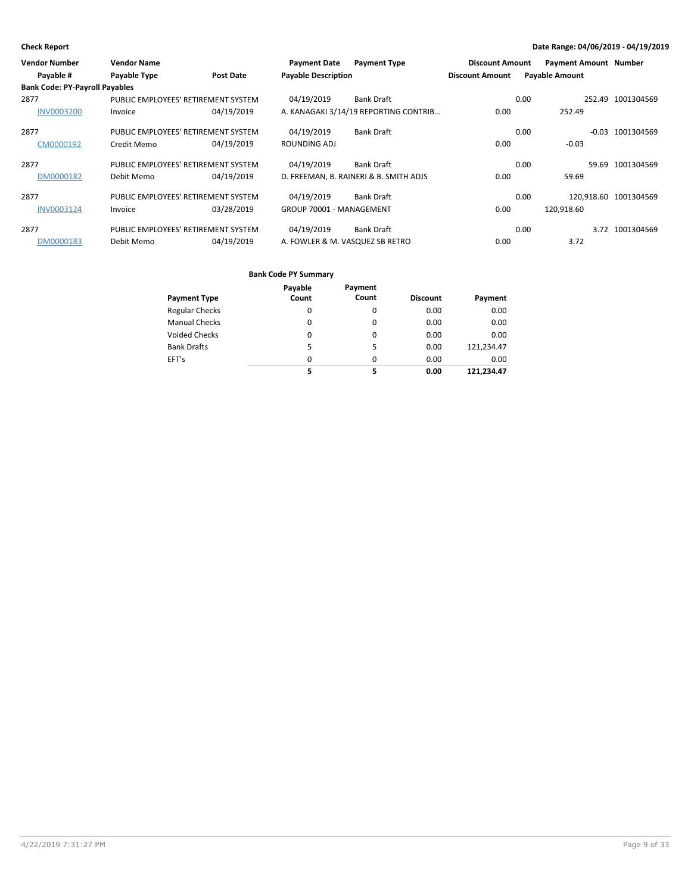| <b>Vendor Number</b>                  | <b>Vendor Name</b>                  |                  | <b>Payment Date</b>             | <b>Payment Type</b>                    | <b>Discount Amount</b> | <b>Payment Amount Number</b> |         |                       |
|---------------------------------------|-------------------------------------|------------------|---------------------------------|----------------------------------------|------------------------|------------------------------|---------|-----------------------|
| Payable #                             | Payable Type                        | <b>Post Date</b> | <b>Payable Description</b>      |                                        | <b>Discount Amount</b> | <b>Payable Amount</b>        |         |                       |
| <b>Bank Code: PY-Payroll Payables</b> |                                     |                  |                                 |                                        |                        |                              |         |                       |
| 2877                                  | PUBLIC EMPLOYEES' RETIREMENT SYSTEM |                  | 04/19/2019                      | <b>Bank Draft</b>                      |                        | 0.00                         |         | 252.49 1001304569     |
| <b>INV0003200</b>                     | Invoice                             | 04/19/2019       |                                 | A. KANAGAKI 3/14/19 REPORTING CONTRIB  | 0.00                   | 252.49                       |         |                       |
| 2877                                  | PUBLIC EMPLOYEES' RETIREMENT SYSTEM |                  | 04/19/2019                      | <b>Bank Draft</b>                      |                        | 0.00                         | $-0.03$ | 1001304569            |
| CM0000192                             | Credit Memo                         | 04/19/2019       | ROUNDING ADJ                    |                                        | 0.00                   | $-0.03$                      |         |                       |
| 2877                                  | PUBLIC EMPLOYEES' RETIREMENT SYSTEM |                  | 04/19/2019                      | <b>Bank Draft</b>                      |                        | 0.00                         | 59.69   | 1001304569            |
| DM0000182                             | Debit Memo                          | 04/19/2019       |                                 | D. FREEMAN, B. RAINERI & B. SMITH ADJS | 0.00                   | 59.69                        |         |                       |
| 2877                                  | PUBLIC EMPLOYEES' RETIREMENT SYSTEM |                  | 04/19/2019                      | <b>Bank Draft</b>                      |                        | 0.00                         |         | 120,918.60 1001304569 |
| INV0003124                            | Invoice                             | 03/28/2019       | GROUP 70001 - MANAGEMENT        |                                        | 0.00                   | 120.918.60                   |         |                       |
| 2877                                  | PUBLIC EMPLOYEES' RETIREMENT SYSTEM |                  | 04/19/2019                      | <b>Bank Draft</b>                      |                        | 0.00                         |         | 3.72 1001304569       |
| DM0000183                             | Debit Memo                          | 04/19/2019       | A. FOWLER & M. VASQUEZ SB RETRO |                                        | 0.00                   | 3.72                         |         |                       |

|                       | Payable | Payment |                 |            |
|-----------------------|---------|---------|-----------------|------------|
| Payment Type          | Count   | Count   | <b>Discount</b> | Payment    |
| <b>Regular Checks</b> | 0       | 0       | 0.00            | 0.00       |
| <b>Manual Checks</b>  | 0       | 0       | 0.00            | 0.00       |
| Voided Checks         | 0       | 0       | 0.00            | 0.00       |
| <b>Bank Drafts</b>    | 5       | 5       | 0.00            | 121,234.47 |
| EFT's                 | 0       | 0       | 0.00            | 0.00       |
|                       | 5       | 5       | 0.00            | 121.234.47 |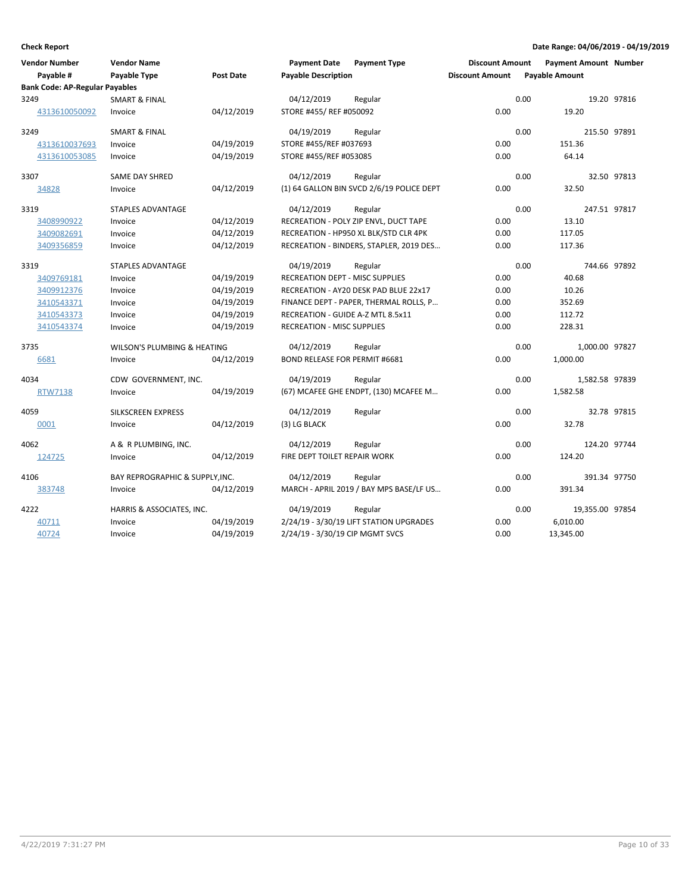| <b>Vendor Number</b><br>Payable #     | <b>Vendor Name</b><br>Payable Type | Post Date  | <b>Payment Date</b><br><b>Payable Description</b> | <b>Payment Type</b>                       | <b>Discount Amount</b><br><b>Discount Amount</b> |      | <b>Payment Amount Number</b><br><b>Payable Amount</b> |             |
|---------------------------------------|------------------------------------|------------|---------------------------------------------------|-------------------------------------------|--------------------------------------------------|------|-------------------------------------------------------|-------------|
| <b>Bank Code: AP-Regular Payables</b> |                                    |            |                                                   |                                           |                                                  |      |                                                       |             |
| 3249                                  | <b>SMART &amp; FINAL</b>           |            | 04/12/2019                                        | Regular                                   |                                                  | 0.00 |                                                       | 19.20 97816 |
| 4313610050092                         | Invoice                            | 04/12/2019 | STORE #455/ REF #050092                           |                                           | 0.00                                             |      | 19.20                                                 |             |
| 3249                                  | <b>SMART &amp; FINAL</b>           |            | 04/19/2019                                        | Regular                                   |                                                  | 0.00 | 215.50 97891                                          |             |
| 4313610037693                         | Invoice                            | 04/19/2019 | STORE #455/REF #037693                            |                                           | 0.00                                             |      | 151.36                                                |             |
| 4313610053085                         | Invoice                            | 04/19/2019 | STORE #455/REF #053085                            |                                           | 0.00                                             |      | 64.14                                                 |             |
| 3307                                  | SAME DAY SHRED                     |            | 04/12/2019                                        | Regular                                   |                                                  | 0.00 |                                                       | 32.50 97813 |
| 34828                                 | Invoice                            | 04/12/2019 |                                                   | (1) 64 GALLON BIN SVCD 2/6/19 POLICE DEPT | 0.00                                             |      | 32.50                                                 |             |
| 3319                                  | <b>STAPLES ADVANTAGE</b>           |            | 04/12/2019                                        | Regular                                   |                                                  | 0.00 | 247.51 97817                                          |             |
| 3408990922                            | Invoice                            | 04/12/2019 |                                                   | RECREATION - POLY ZIP ENVL, DUCT TAPE     | 0.00                                             |      | 13.10                                                 |             |
| 3409082691                            | Invoice                            | 04/12/2019 |                                                   | RECREATION - HP950 XL BLK/STD CLR 4PK     | 0.00                                             |      | 117.05                                                |             |
| 3409356859                            | Invoice                            | 04/12/2019 |                                                   | RECREATION - BINDERS, STAPLER, 2019 DES   | 0.00                                             |      | 117.36                                                |             |
| 3319                                  | <b>STAPLES ADVANTAGE</b>           |            | 04/19/2019                                        | Regular                                   |                                                  | 0.00 | 744.66 97892                                          |             |
| 3409769181                            | Invoice                            | 04/19/2019 | <b>RECREATION DEPT - MISC SUPPLIES</b>            |                                           | 0.00                                             |      | 40.68                                                 |             |
| 3409912376                            | Invoice                            | 04/19/2019 |                                                   | RECREATION - AY20 DESK PAD BLUE 22x17     | 0.00                                             |      | 10.26                                                 |             |
| 3410543371                            | Invoice                            | 04/19/2019 |                                                   | FINANCE DEPT - PAPER, THERMAL ROLLS, P    | 0.00                                             |      | 352.69                                                |             |
| 3410543373                            | Invoice                            | 04/19/2019 | RECREATION - GUIDE A-Z MTL 8.5x11                 |                                           | 0.00                                             |      | 112.72                                                |             |
| 3410543374                            | Invoice                            | 04/19/2019 | <b>RECREATION - MISC SUPPLIES</b>                 |                                           | 0.00                                             |      | 228.31                                                |             |
| 3735                                  | WILSON'S PLUMBING & HEATING        |            | 04/12/2019                                        | Regular                                   |                                                  | 0.00 | 1,000.00 97827                                        |             |
| 6681                                  | Invoice                            | 04/12/2019 | <b>BOND RELEASE FOR PERMIT #6681</b>              |                                           | 0.00                                             |      | 1,000.00                                              |             |
| 4034                                  | CDW GOVERNMENT, INC.               |            | 04/19/2019                                        | Regular                                   |                                                  | 0.00 | 1,582.58 97839                                        |             |
| <b>RTW7138</b>                        | Invoice                            | 04/19/2019 |                                                   | (67) MCAFEE GHE ENDPT, (130) MCAFEE M     | 0.00                                             |      | 1,582.58                                              |             |
| 4059                                  | SILKSCREEN EXPRESS                 |            | 04/12/2019                                        | Regular                                   |                                                  | 0.00 |                                                       | 32.78 97815 |
| 0001                                  | Invoice                            | 04/12/2019 | (3) LG BLACK                                      |                                           | 0.00                                             |      | 32.78                                                 |             |
| 4062                                  | A & R PLUMBING, INC.               |            | 04/12/2019                                        | Regular                                   |                                                  | 0.00 | 124.20 97744                                          |             |
| 124725                                | Invoice                            | 04/12/2019 | FIRE DEPT TOILET REPAIR WORK                      |                                           | 0.00                                             |      | 124.20                                                |             |
| 4106                                  | BAY REPROGRAPHIC & SUPPLY, INC.    |            | 04/12/2019                                        | Regular                                   |                                                  | 0.00 | 391.34 97750                                          |             |
| 383748                                | Invoice                            | 04/12/2019 |                                                   | MARCH - APRIL 2019 / BAY MPS BASE/LF US   | 0.00                                             |      | 391.34                                                |             |
| 4222                                  | HARRIS & ASSOCIATES, INC.          |            | 04/19/2019                                        | Regular                                   |                                                  | 0.00 | 19,355.00 97854                                       |             |
| 40711                                 | Invoice                            | 04/19/2019 |                                                   | 2/24/19 - 3/30/19 LIFT STATION UPGRADES   | 0.00                                             |      | 6,010.00                                              |             |
| 40724                                 | Invoice                            | 04/19/2019 | 2/24/19 - 3/30/19 CIP MGMT SVCS                   |                                           | 0.00                                             |      | 13,345.00                                             |             |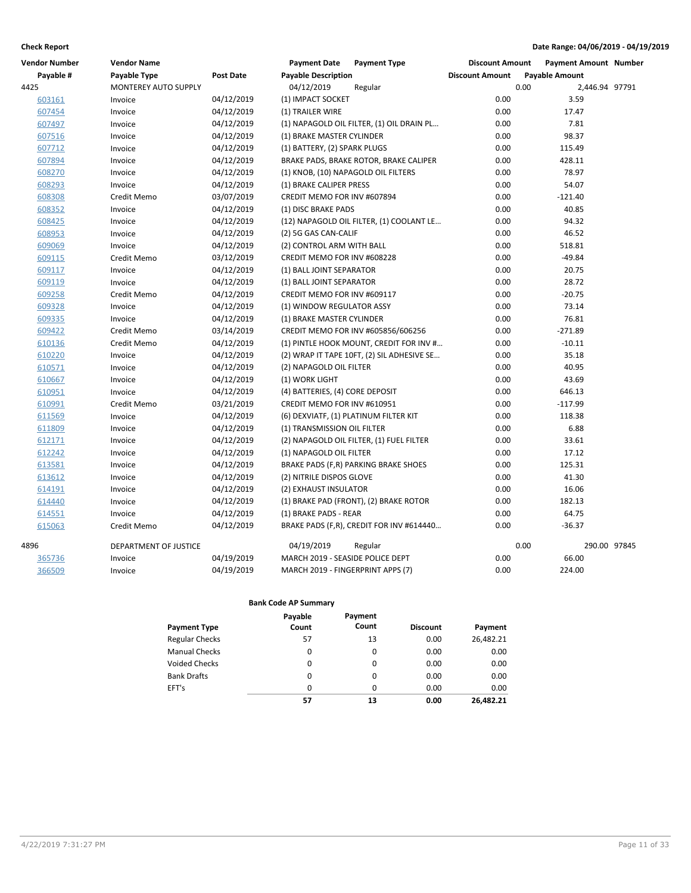| <b>Vendor Number</b> | <b>Vendor Name</b>    |            | <b>Payment Date</b>                   | <b>Payment Type</b>                        | <b>Discount Amount</b> | <b>Payment Amount Number</b> |              |
|----------------------|-----------------------|------------|---------------------------------------|--------------------------------------------|------------------------|------------------------------|--------------|
| Payable #            | Payable Type          | Post Date  | <b>Payable Description</b>            |                                            | <b>Discount Amount</b> | <b>Payable Amount</b>        |              |
| 4425                 | MONTEREY AUTO SUPPLY  |            | 04/12/2019                            | Regular                                    |                        | 0.00<br>2,446.94 97791       |              |
| 603161               | Invoice               | 04/12/2019 | (1) IMPACT SOCKET                     |                                            | 0.00                   | 3.59                         |              |
| 607454               | Invoice               | 04/12/2019 | (1) TRAILER WIRE                      |                                            | 0.00                   | 17.47                        |              |
| 607497               | Invoice               | 04/12/2019 |                                       | (1) NAPAGOLD OIL FILTER, (1) OIL DRAIN PL  | 0.00                   | 7.81                         |              |
| 607516               | Invoice               | 04/12/2019 | (1) BRAKE MASTER CYLINDER             |                                            | 0.00                   | 98.37                        |              |
| 607712               | Invoice               | 04/12/2019 | (1) BATTERY, (2) SPARK PLUGS          |                                            | 0.00                   | 115.49                       |              |
| 607894               | Invoice               | 04/12/2019 |                                       | BRAKE PADS, BRAKE ROTOR, BRAKE CALIPER     | 0.00                   | 428.11                       |              |
| 608270               | Invoice               | 04/12/2019 | (1) KNOB, (10) NAPAGOLD OIL FILTERS   |                                            | 0.00                   | 78.97                        |              |
| 608293               | Invoice               | 04/12/2019 | (1) BRAKE CALIPER PRESS               |                                            | 0.00                   | 54.07                        |              |
| 608308               | Credit Memo           | 03/07/2019 | CREDIT MEMO FOR INV #607894           |                                            | 0.00                   | $-121.40$                    |              |
| 608352               | Invoice               | 04/12/2019 | (1) DISC BRAKE PADS                   |                                            | 0.00                   | 40.85                        |              |
| 608425               | Invoice               | 04/12/2019 |                                       | (12) NAPAGOLD OIL FILTER, (1) COOLANT LE   | 0.00                   | 94.32                        |              |
| 608953               | Invoice               | 04/12/2019 | (2) 5G GAS CAN-CALIF                  |                                            | 0.00                   | 46.52                        |              |
| 609069               | Invoice               | 04/12/2019 | (2) CONTROL ARM WITH BALL             |                                            | 0.00                   | 518.81                       |              |
| 609115               | Credit Memo           | 03/12/2019 | CREDIT MEMO FOR INV #608228           |                                            | 0.00                   | $-49.84$                     |              |
| 609117               | Invoice               | 04/12/2019 | (1) BALL JOINT SEPARATOR              |                                            | 0.00                   | 20.75                        |              |
| 609119               | Invoice               | 04/12/2019 | (1) BALL JOINT SEPARATOR              |                                            | 0.00                   | 28.72                        |              |
| 609258               | Credit Memo           | 04/12/2019 | CREDIT MEMO FOR INV #609117           |                                            | 0.00                   | $-20.75$                     |              |
| 609328               | Invoice               | 04/12/2019 | (1) WINDOW REGULATOR ASSY             |                                            | 0.00                   | 73.14                        |              |
| 609335               | Invoice               | 04/12/2019 | (1) BRAKE MASTER CYLINDER             |                                            | 0.00                   | 76.81                        |              |
| 609422               | Credit Memo           | 03/14/2019 |                                       | CREDIT MEMO FOR INV #605856/606256         | 0.00                   | $-271.89$                    |              |
| 610136               | Credit Memo           | 04/12/2019 |                                       | (1) PINTLE HOOK MOUNT, CREDIT FOR INV #    | 0.00                   | $-10.11$                     |              |
| 610220               | Invoice               | 04/12/2019 |                                       | (2) WRAP IT TAPE 10FT, (2) SIL ADHESIVE SE | 0.00                   | 35.18                        |              |
| 610571               | Invoice               | 04/12/2019 | (2) NAPAGOLD OIL FILTER               |                                            | 0.00                   | 40.95                        |              |
| 610667               | Invoice               | 04/12/2019 | (1) WORK LIGHT                        |                                            | 0.00                   | 43.69                        |              |
| 610951               | Invoice               | 04/12/2019 | (4) BATTERIES, (4) CORE DEPOSIT       |                                            | 0.00                   | 646.13                       |              |
| 610991               | Credit Memo           | 03/21/2019 | CREDIT MEMO FOR INV #610951           |                                            | 0.00                   | $-117.99$                    |              |
| 611569               | Invoice               | 04/12/2019 | (6) DEXVIATF, (1) PLATINUM FILTER KIT |                                            | 0.00                   | 118.38                       |              |
| 611809               | Invoice               | 04/12/2019 | (1) TRANSMISSION OIL FILTER           |                                            | 0.00                   | 6.88                         |              |
| 612171               | Invoice               | 04/12/2019 |                                       | (2) NAPAGOLD OIL FILTER, (1) FUEL FILTER   | 0.00                   | 33.61                        |              |
| 612242               | Invoice               | 04/12/2019 | (1) NAPAGOLD OIL FILTER               |                                            | 0.00                   | 17.12                        |              |
| 613581               | Invoice               | 04/12/2019 |                                       | BRAKE PADS (F,R) PARKING BRAKE SHOES       | 0.00                   | 125.31                       |              |
| 613612               | Invoice               | 04/12/2019 | (2) NITRILE DISPOS GLOVE              |                                            | 0.00                   | 41.30                        |              |
| 614191               | Invoice               | 04/12/2019 | (2) EXHAUST INSULATOR                 |                                            | 0.00                   | 16.06                        |              |
| 614440               | Invoice               | 04/12/2019 |                                       | (1) BRAKE PAD (FRONT), (2) BRAKE ROTOR     | 0.00                   | 182.13                       |              |
| 614551               | Invoice               | 04/12/2019 | (1) BRAKE PADS - REAR                 |                                            | 0.00                   | 64.75                        |              |
| 615063               | Credit Memo           | 04/12/2019 |                                       | BRAKE PADS (F,R), CREDIT FOR INV #614440   | 0.00                   | $-36.37$                     |              |
| 4896                 | DEPARTMENT OF JUSTICE |            | 04/19/2019                            | Regular                                    |                        | 0.00                         | 290.00 97845 |
| 365736               | Invoice               | 04/19/2019 | MARCH 2019 - SEASIDE POLICE DEPT      |                                            | 0.00                   | 66.00                        |              |
| 366509               | Invoice               | 04/19/2019 | MARCH 2019 - FINGERPRINT APPS (7)     |                                            | 0.00                   | 224.00                       |              |

|                       | Payable  | Payment  |                 |           |
|-----------------------|----------|----------|-----------------|-----------|
| <b>Payment Type</b>   | Count    | Count    | <b>Discount</b> | Payment   |
| <b>Regular Checks</b> | 57       | 13       | 0.00            | 26,482.21 |
| <b>Manual Checks</b>  | 0        | 0        | 0.00            | 0.00      |
| <b>Voided Checks</b>  | $\Omega$ | $\Omega$ | 0.00            | 0.00      |
| <b>Bank Drafts</b>    | 0        | $\Omega$ | 0.00            | 0.00      |
| EFT's                 | 0        | $\Omega$ | 0.00            | 0.00      |
|                       | 57       | 13       | 0.00            | 26.482.21 |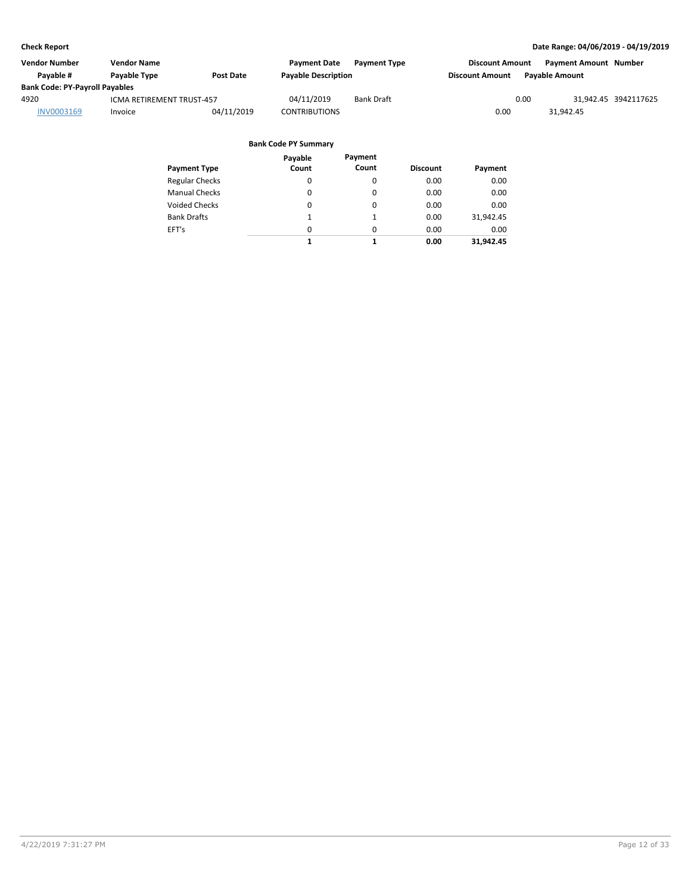| Vendor Number                         | <b>Vendor Name</b>        |            | <b>Payment Date</b>        | <b>Payment Type</b> | <b>Discount Amount</b> | <b>Payment Amount Number</b> |                      |
|---------------------------------------|---------------------------|------------|----------------------------|---------------------|------------------------|------------------------------|----------------------|
| Pavable #                             | Payable Type              | Post Date  | <b>Payable Description</b> |                     | <b>Discount Amount</b> | <b>Pavable Amount</b>        |                      |
| <b>Bank Code: PY-Payroll Payables</b> |                           |            |                            |                     |                        |                              |                      |
| 4920                                  | ICMA RETIREMENT TRUST-457 |            | 04/11/2019                 | <b>Bank Draft</b>   | 0.00                   |                              | 31,942.45 3942117625 |
| INV0003169                            | Invoice                   | 04/11/2019 | <b>CONTRIBUTIONS</b>       |                     | 0.00                   | 31.942.45                    |                      |

|                       | Payable  | Payment  |                 |           |
|-----------------------|----------|----------|-----------------|-----------|
| <b>Payment Type</b>   | Count    | Count    | <b>Discount</b> | Payment   |
| <b>Regular Checks</b> | 0        | 0        | 0.00            | 0.00      |
| <b>Manual Checks</b>  | 0        | 0        | 0.00            | 0.00      |
| <b>Voided Checks</b>  | 0        | 0        | 0.00            | 0.00      |
| <b>Bank Drafts</b>    | 1        | 1        | 0.00            | 31,942.45 |
| EFT's                 | $\Omega$ | $\Omega$ | 0.00            | 0.00      |
|                       | 1        | 1        | 0.00            | 31.942.45 |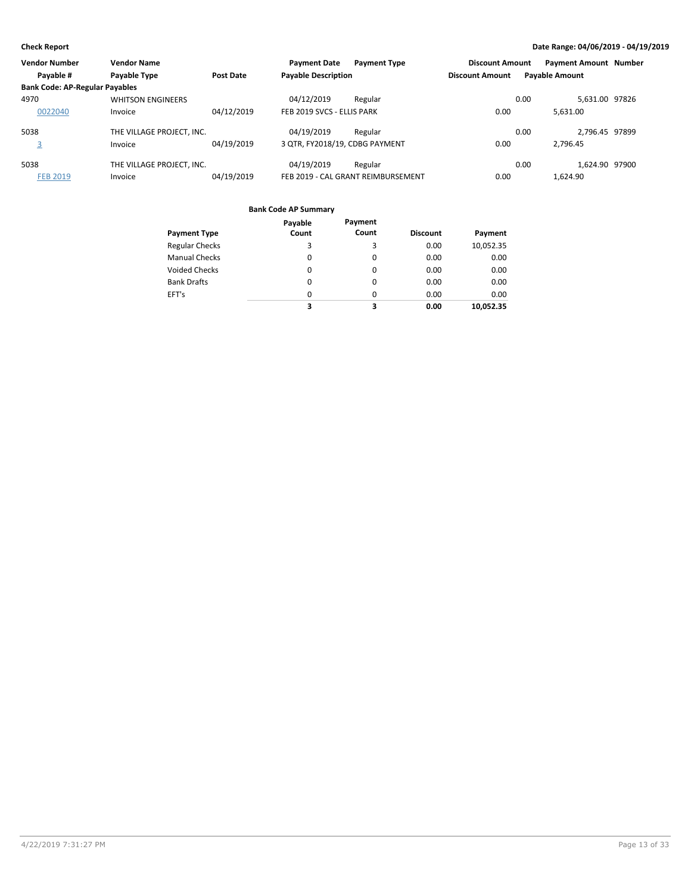| <b>Vendor Number</b>                  | <b>Vendor Name</b>        |                  | <b>Payment Date</b>            | <b>Payment Type</b>                | <b>Discount Amount</b> | <b>Payment Amount Number</b> |  |
|---------------------------------------|---------------------------|------------------|--------------------------------|------------------------------------|------------------------|------------------------------|--|
| Payable #                             | Payable Type              | <b>Post Date</b> | <b>Payable Description</b>     |                                    | <b>Discount Amount</b> | <b>Payable Amount</b>        |  |
| <b>Bank Code: AP-Regular Payables</b> |                           |                  |                                |                                    |                        |                              |  |
| 4970                                  | <b>WHITSON ENGINEERS</b>  |                  | 04/12/2019                     | Regular                            |                        | 5,631.00 97826<br>0.00       |  |
| 0022040                               | Invoice                   | 04/12/2019       | FEB 2019 SVCS - ELLIS PARK     |                                    | 0.00                   | 5.631.00                     |  |
| 5038                                  | THE VILLAGE PROJECT, INC. |                  | 04/19/2019                     | Regular                            |                        | 2.796.45 97899<br>0.00       |  |
| 3                                     | Invoice                   | 04/19/2019       | 3 QTR, FY2018/19, CDBG PAYMENT |                                    | 0.00                   | 2.796.45                     |  |
| 5038                                  | THE VILLAGE PROJECT. INC. |                  | 04/19/2019                     | Regular                            |                        | 1.624.90 97900<br>0.00       |  |
| <b>FEB 2019</b>                       | Invoice                   | 04/19/2019       |                                | FEB 2019 - CAL GRANT REIMBURSEMENT | 0.00                   | 1.624.90                     |  |

| <b>Payment Type</b>   | Payable<br>Count | Payment<br>Count | <b>Discount</b> | Payment   |
|-----------------------|------------------|------------------|-----------------|-----------|
| <b>Regular Checks</b> | 3                | 3                | 0.00            | 10,052.35 |
| <b>Manual Checks</b>  | 0                | 0                | 0.00            | 0.00      |
| <b>Voided Checks</b>  | 0                | 0                | 0.00            | 0.00      |
| <b>Bank Drafts</b>    | 0                | 0                | 0.00            | 0.00      |
| EFT's                 | 0                | $\Omega$         | 0.00            | 0.00      |
|                       | 3                | 3                | 0.00            | 10.052.35 |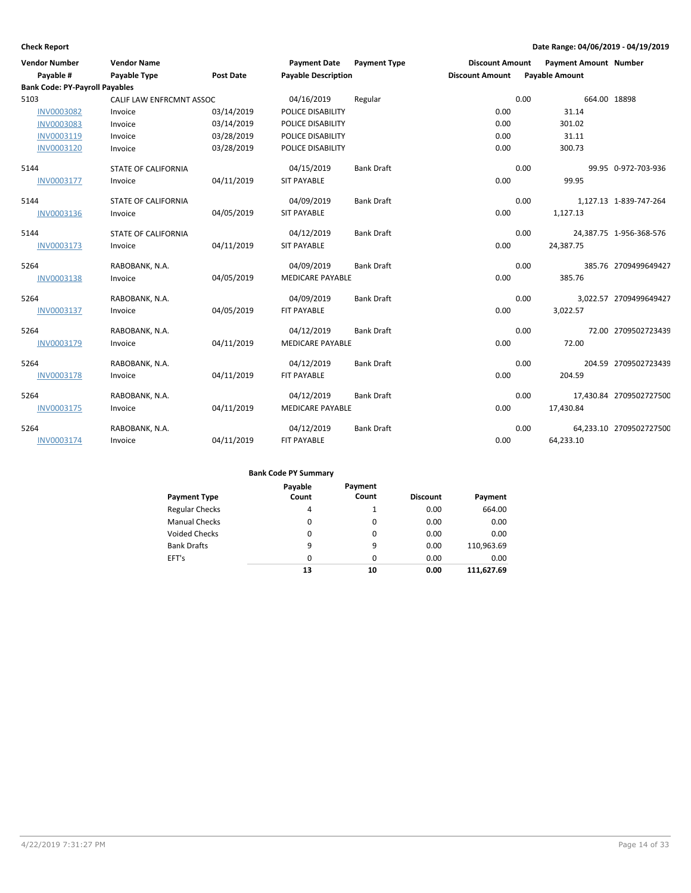| <b>Vendor Number</b>                  | <b>Vendor Name</b>         |                  | <b>Payment Date</b>        | <b>Payment Type</b> | <b>Discount Amount</b> |      | <b>Payment Amount Number</b> |                         |
|---------------------------------------|----------------------------|------------------|----------------------------|---------------------|------------------------|------|------------------------------|-------------------------|
| Payable #                             | Payable Type               | <b>Post Date</b> | <b>Payable Description</b> |                     | <b>Discount Amount</b> |      | <b>Payable Amount</b>        |                         |
| <b>Bank Code: PY-Payroll Payables</b> |                            |                  |                            |                     |                        |      |                              |                         |
| 5103                                  | CALIF LAW ENFRCMNT ASSOC   |                  | 04/16/2019                 | Regular             |                        | 0.00 | 664.00 18898                 |                         |
| <b>INV0003082</b>                     | Invoice                    | 03/14/2019       | <b>POLICE DISABILITY</b>   |                     | 0.00                   |      | 31.14                        |                         |
| <b>INV0003083</b>                     | Invoice                    | 03/14/2019       | POLICE DISABILITY          |                     | 0.00                   |      | 301.02                       |                         |
| INV0003119                            | Invoice                    | 03/28/2019       | <b>POLICE DISABILITY</b>   |                     | 0.00                   |      | 31.11                        |                         |
| INV0003120                            | Invoice                    | 03/28/2019       | POLICE DISABILITY          |                     | 0.00                   |      | 300.73                       |                         |
| 5144                                  | <b>STATE OF CALIFORNIA</b> |                  | 04/15/2019                 | <b>Bank Draft</b>   |                        | 0.00 |                              | 99.95 0-972-703-936     |
| INV0003177                            | Invoice                    | 04/11/2019       | <b>SIT PAYABLE</b>         |                     | 0.00                   |      | 99.95                        |                         |
| 5144                                  | <b>STATE OF CALIFORNIA</b> |                  | 04/09/2019                 | <b>Bank Draft</b>   |                        | 0.00 |                              | 1,127.13 1-839-747-264  |
| INV0003136                            | Invoice                    | 04/05/2019       | <b>SIT PAYABLE</b>         |                     | 0.00                   |      | 1,127.13                     |                         |
| 5144                                  | <b>STATE OF CALIFORNIA</b> |                  | 04/12/2019                 | <b>Bank Draft</b>   |                        | 0.00 |                              | 24,387.75 1-956-368-576 |
| INV0003173                            | Invoice                    | 04/11/2019       | <b>SIT PAYABLE</b>         |                     | 0.00                   |      | 24,387.75                    |                         |
| 5264                                  | RABOBANK, N.A.             |                  | 04/09/2019                 | <b>Bank Draft</b>   |                        | 0.00 |                              | 385.76 2709499649427    |
| INV0003138                            | Invoice                    | 04/05/2019       | <b>MEDICARE PAYABLE</b>    |                     | 0.00                   |      | 385.76                       |                         |
| 5264                                  | RABOBANK, N.A.             |                  | 04/09/2019                 | <b>Bank Draft</b>   |                        | 0.00 |                              | 3,022.57 2709499649427  |
| INV0003137                            | Invoice                    | 04/05/2019       | <b>FIT PAYABLE</b>         |                     | 0.00                   |      | 3,022.57                     |                         |
| 5264                                  | RABOBANK, N.A.             |                  | 04/12/2019                 | <b>Bank Draft</b>   |                        | 0.00 |                              | 72.00 2709502723439     |
| INV0003179                            | Invoice                    | 04/11/2019       | <b>MEDICARE PAYABLE</b>    |                     | 0.00                   |      | 72.00                        |                         |
| 5264                                  | RABOBANK, N.A.             |                  | 04/12/2019                 | <b>Bank Draft</b>   |                        | 0.00 |                              | 204.59 2709502723439    |
| <b>INV0003178</b>                     | Invoice                    | 04/11/2019       | FIT PAYABLE                |                     | 0.00                   |      | 204.59                       |                         |
| 5264                                  | RABOBANK, N.A.             |                  | 04/12/2019                 | <b>Bank Draft</b>   |                        | 0.00 |                              | 17,430.84 2709502727500 |
| INV0003175                            | Invoice                    | 04/11/2019       | <b>MEDICARE PAYABLE</b>    |                     | 0.00                   |      | 17,430.84                    |                         |
| 5264                                  | RABOBANK, N.A.             |                  | 04/12/2019                 | <b>Bank Draft</b>   |                        | 0.00 |                              | 64,233.10 2709502727500 |
| INV0003174                            | Invoice                    | 04/11/2019       | <b>FIT PAYABLE</b>         |                     | 0.00                   |      | 64,233.10                    |                         |

| <b>Payment Type</b>   | Payable<br>Count | Payment<br>Count | <b>Discount</b> | Payment    |
|-----------------------|------------------|------------------|-----------------|------------|
| <b>Regular Checks</b> | 4                | 1                | 0.00            | 664.00     |
| <b>Manual Checks</b>  | $\Omega$         | $\Omega$         | 0.00            | 0.00       |
| <b>Voided Checks</b>  | $\Omega$         | 0                | 0.00            | 0.00       |
| <b>Bank Drafts</b>    | 9                | 9                | 0.00            | 110,963.69 |
| EFT's                 | $\Omega$         | $\Omega$         | 0.00            | 0.00       |
|                       | 13               | 10               | 0.00            | 111.627.69 |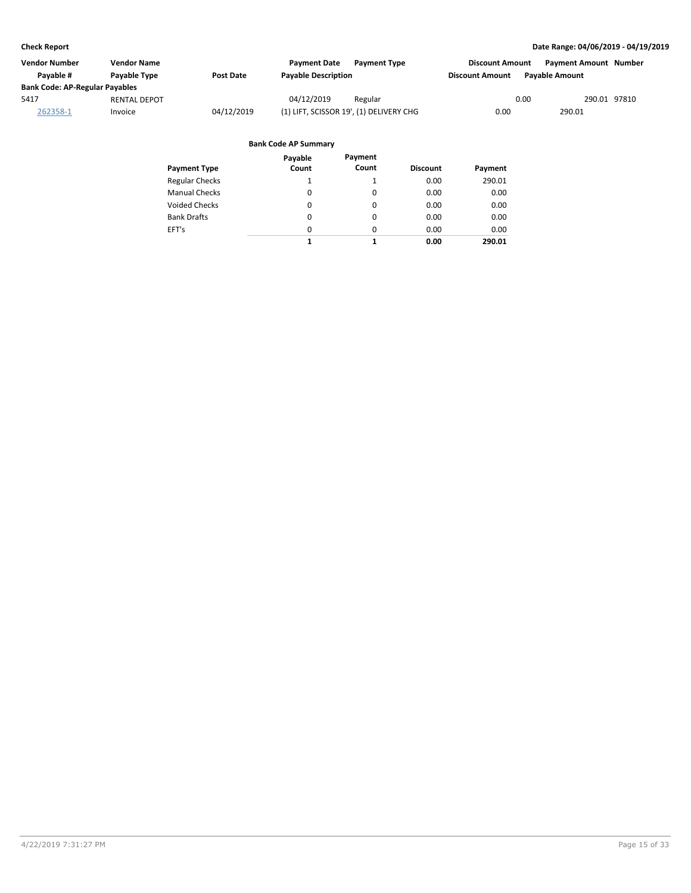| <b>Vendor Number</b>                  | <b>Vendor Name</b>  |                  | <b>Payment Date</b><br><b>Payment Type</b> | <b>Discount Amount</b> | <b>Payment Amount Number</b> |
|---------------------------------------|---------------------|------------------|--------------------------------------------|------------------------|------------------------------|
| Pavable #                             | <b>Pavable Type</b> | <b>Post Date</b> | <b>Payable Description</b>                 | <b>Discount Amount</b> | <b>Pavable Amount</b>        |
| <b>Bank Code: AP-Regular Payables</b> |                     |                  |                                            |                        |                              |
| 5417                                  | <b>RENTAL DEPOT</b> |                  | 04/12/2019<br>Regular                      | 0.00                   | 290.01 97810                 |
| 262358-1                              | Invoice             | 04/12/2019       | (1) LIFT, SCISSOR 19', (1) DELIVERY CHG    | 0.00                   | 290.01                       |

| Payment Type          | Payable<br>Count | Payment<br>Count | <b>Discount</b> | Payment |
|-----------------------|------------------|------------------|-----------------|---------|
| <b>Regular Checks</b> | 1                |                  | 0.00            | 290.01  |
| <b>Manual Checks</b>  | $\Omega$         | 0                | 0.00            | 0.00    |
| <b>Voided Checks</b>  | 0                | 0                | 0.00            | 0.00    |
| <b>Bank Drafts</b>    | 0                | 0                | 0.00            | 0.00    |
| EFT's                 | $\Omega$         | 0                | 0.00            | 0.00    |
|                       | 1                | 1                | 0.00            | 290.01  |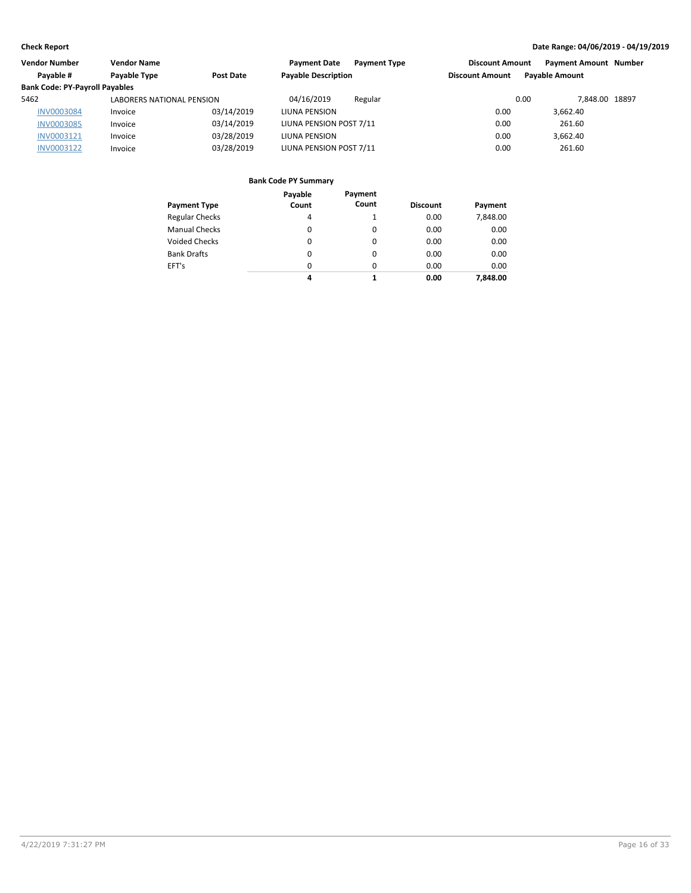| Vendor Number                         | <b>Vendor Name</b>               |            | <b>Payment Type</b><br><b>Payment Date</b> | <b>Discount Amount</b> | <b>Payment Amount Number</b> |  |
|---------------------------------------|----------------------------------|------------|--------------------------------------------|------------------------|------------------------------|--|
| Payable #                             | Payable Type                     | Post Date  | <b>Payable Description</b>                 | <b>Discount Amount</b> | <b>Payable Amount</b>        |  |
| <b>Bank Code: PY-Payroll Payables</b> |                                  |            |                                            |                        |                              |  |
| 5462                                  | <b>LABORERS NATIONAL PENSION</b> |            | 04/16/2019<br>Regular                      | 0.00                   | 7.848.00 18897               |  |
| <b>INV0003084</b>                     | Invoice                          | 03/14/2019 | LIUNA PENSION                              | 0.00                   | 3.662.40                     |  |
| <b>INV0003085</b>                     | Invoice                          | 03/14/2019 | LIUNA PENSION POST 7/11                    | 0.00                   | 261.60                       |  |
| INV0003121                            | Invoice                          | 03/28/2019 | LIUNA PENSION                              | 0.00                   | 3.662.40                     |  |
| INV0003122                            | Invoice                          | 03/28/2019 | LIUNA PENSION POST 7/11                    | 0.00                   | 261.60                       |  |

| <b>Payment Type</b>   | Payable<br>Count | Payment<br>Count | <b>Discount</b> | Payment  |
|-----------------------|------------------|------------------|-----------------|----------|
| <b>Regular Checks</b> | 4                |                  | 0.00            | 7,848.00 |
| <b>Manual Checks</b>  | 0                | 0                | 0.00            | 0.00     |
| <b>Voided Checks</b>  | 0                | 0                | 0.00            | 0.00     |
| <b>Bank Drafts</b>    | 0                | 0                | 0.00            | 0.00     |
| EFT's                 | $\Omega$         | 0                | 0.00            | 0.00     |
|                       | 4                |                  | 0.00            | 7,848.00 |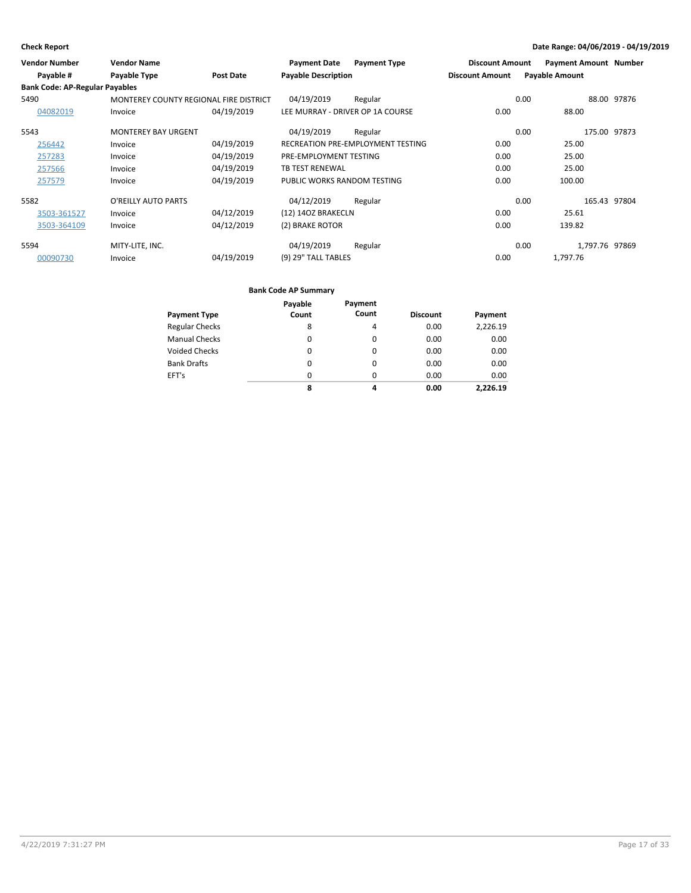| <b>Vendor Number</b>                  | <b>Vendor Name</b>                     |                  | <b>Payment Date</b>              | <b>Payment Type</b>               | <b>Discount Amount</b> | <b>Payment Amount Number</b> |              |
|---------------------------------------|----------------------------------------|------------------|----------------------------------|-----------------------------------|------------------------|------------------------------|--------------|
| Payable #                             | Payable Type                           | <b>Post Date</b> | <b>Payable Description</b>       |                                   | <b>Discount Amount</b> | <b>Payable Amount</b>        |              |
| <b>Bank Code: AP-Regular Payables</b> |                                        |                  |                                  |                                   |                        |                              |              |
| 5490                                  | MONTEREY COUNTY REGIONAL FIRE DISTRICT |                  | 04/19/2019                       | Regular                           |                        | 0.00                         | 88.00 97876  |
| 04082019                              | Invoice                                | 04/19/2019       | LEE MURRAY - DRIVER OP 1A COURSE |                                   | 0.00                   | 88.00                        |              |
| 5543                                  | <b>MONTEREY BAY URGENT</b>             |                  | 04/19/2019                       | Regular                           |                        | 0.00                         | 175.00 97873 |
| 256442                                | Invoice                                | 04/19/2019       |                                  | RECREATION PRE-EMPLOYMENT TESTING | 0.00                   | 25.00                        |              |
| 257283                                | Invoice                                | 04/19/2019       | PRE-EMPLOYMENT TESTING           |                                   | 0.00                   | 25.00                        |              |
| 257566                                | Invoice                                | 04/19/2019       | <b>TB TEST RENEWAL</b>           |                                   | 0.00                   | 25.00                        |              |
| 257579                                | Invoice                                | 04/19/2019       | PUBLIC WORKS RANDOM TESTING      |                                   | 0.00                   | 100.00                       |              |
| 5582                                  | O'REILLY AUTO PARTS                    |                  | 04/12/2019                       | Regular                           |                        | 0.00                         | 165.43 97804 |
| 3503-361527                           | Invoice                                | 04/12/2019       | (12) 14OZ BRAKECLN               |                                   | 0.00                   | 25.61                        |              |
| 3503-364109                           | Invoice                                | 04/12/2019       | (2) BRAKE ROTOR                  |                                   | 0.00                   | 139.82                       |              |
| 5594                                  | MITY-LITE, INC.                        |                  | 04/19/2019                       | Regular                           |                        | 1,797.76 97869<br>0.00       |              |
| 00090730                              | Invoice                                | 04/19/2019       | (9) 29" TALL TABLES              |                                   | 0.00                   | 1,797.76                     |              |

| <b>Payment Type</b>   | Payable<br>Count | Payment<br>Count | <b>Discount</b> | Payment  |
|-----------------------|------------------|------------------|-----------------|----------|
| <b>Regular Checks</b> | 8                | 4                | 0.00            | 2,226.19 |
| <b>Manual Checks</b>  | 0                | $\Omega$         | 0.00            | 0.00     |
| Voided Checks         | 0                | 0                | 0.00            | 0.00     |
| <b>Bank Drafts</b>    | 0                | $\Omega$         | 0.00            | 0.00     |
| EFT's                 | $\Omega$         | $\Omega$         | 0.00            | 0.00     |
|                       | 8                | 4                | 0.00            | 2.226.19 |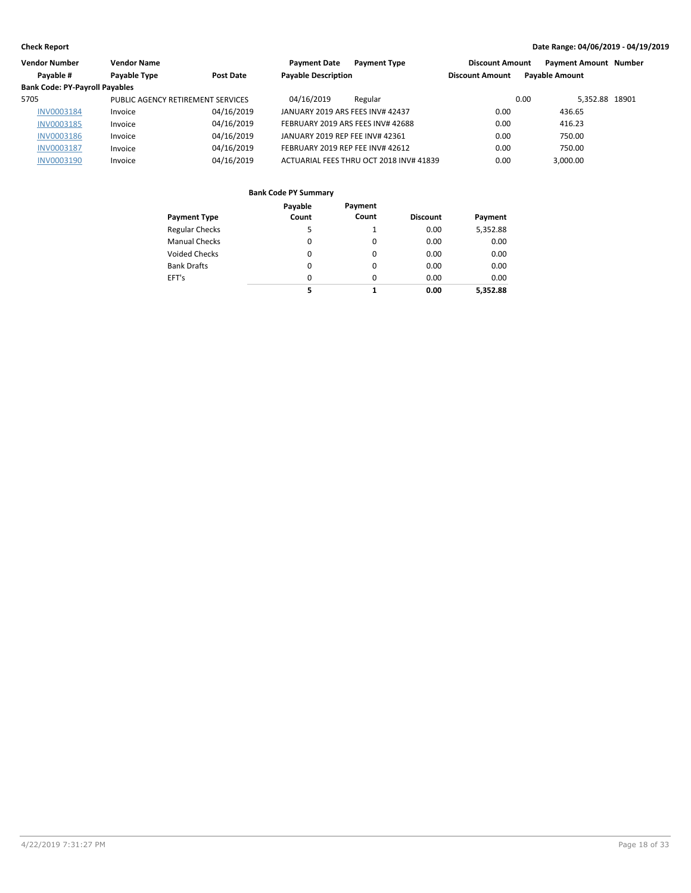| Vendor Number                         | <b>Vendor Name</b>                |            | <b>Payment Date</b>              | <b>Payment Type</b>                     | <b>Discount Amount</b> | <b>Payment Amount Number</b> |  |
|---------------------------------------|-----------------------------------|------------|----------------------------------|-----------------------------------------|------------------------|------------------------------|--|
| Payable #                             | Payable Type                      | Post Date  | <b>Payable Description</b>       |                                         | <b>Discount Amount</b> | <b>Payable Amount</b>        |  |
| <b>Bank Code: PY-Payroll Payables</b> |                                   |            |                                  |                                         |                        |                              |  |
| 5705                                  | PUBLIC AGENCY RETIREMENT SERVICES |            | 04/16/2019                       | Regular                                 |                        | 5.352.88 18901<br>0.00       |  |
| <b>INV0003184</b>                     | Invoice                           | 04/16/2019 | JANUARY 2019 ARS FEES INV# 42437 |                                         | 0.00                   | 436.65                       |  |
| INV0003185                            | Invoice                           | 04/16/2019 |                                  | FEBRUARY 2019 ARS FEES INV# 42688       | 0.00                   | 416.23                       |  |
| <b>INV0003186</b>                     | Invoice                           | 04/16/2019 | JANUARY 2019 REP FEE INV# 42361  |                                         | 0.00                   | 750.00                       |  |
| <b>INV0003187</b>                     | Invoice                           | 04/16/2019 | FEBRUARY 2019 REP FEE INV# 42612 |                                         | 0.00                   | 750.00                       |  |
| INV0003190                            | Invoice                           | 04/16/2019 |                                  | ACTUARIAL FEES THRU OCT 2018 INV# 41839 | 0.00                   | 3.000.00                     |  |

| Payment Type          | Payable<br>Count | Payment<br>Count | <b>Discount</b> | Payment  |
|-----------------------|------------------|------------------|-----------------|----------|
| <b>Regular Checks</b> | 5                | 1                | 0.00            | 5,352.88 |
| <b>Manual Checks</b>  | 0                | 0                | 0.00            | 0.00     |
| Voided Checks         | 0                | 0                | 0.00            | 0.00     |
| <b>Bank Drafts</b>    | $\Omega$         | $\Omega$         | 0.00            | 0.00     |
| EFT's                 | $\Omega$         | $\Omega$         | 0.00            | 0.00     |
|                       | 5                | 1                | 0.00            | 5,352.88 |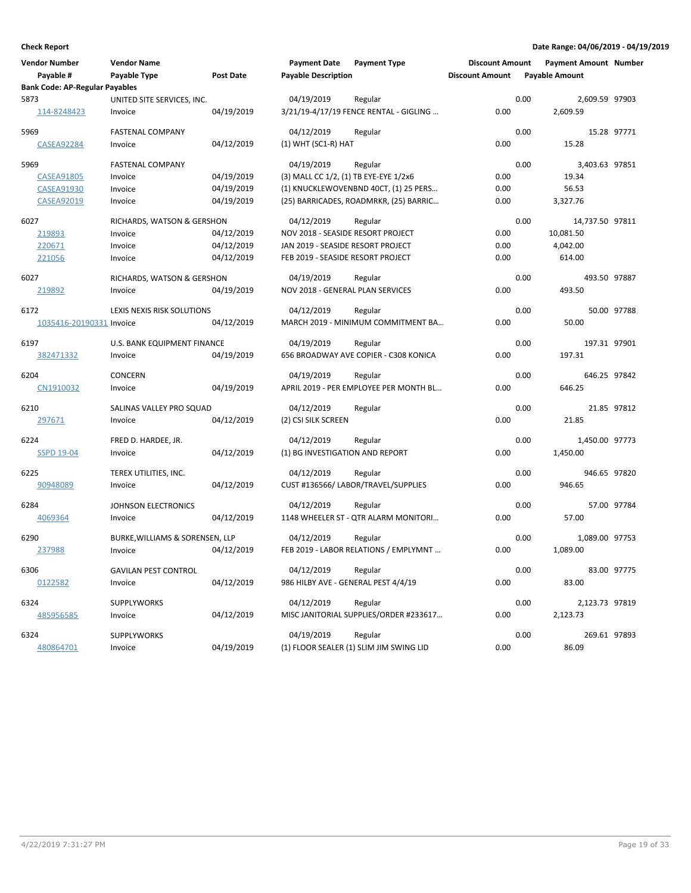| Vendor Number<br>Payable #            | <b>Vendor Name</b><br>Payable Type | <b>Post Date</b> | <b>Payment Date</b><br><b>Payable Description</b> | <b>Payment Type</b>                     | <b>Discount Amount</b><br><b>Discount Amount</b> | <b>Payment Amount Number</b><br><b>Payable Amount</b> |                |
|---------------------------------------|------------------------------------|------------------|---------------------------------------------------|-----------------------------------------|--------------------------------------------------|-------------------------------------------------------|----------------|
| <b>Bank Code: AP-Regular Payables</b> |                                    |                  |                                                   |                                         |                                                  |                                                       |                |
| 5873                                  | UNITED SITE SERVICES, INC.         |                  | 04/19/2019                                        | Regular                                 |                                                  | 0.00                                                  | 2,609.59 97903 |
| 114-8248423                           | Invoice                            | 04/19/2019       |                                                   | 3/21/19-4/17/19 FENCE RENTAL - GIGLING  | 0.00                                             | 2,609.59                                              |                |
| 5969                                  | <b>FASTENAL COMPANY</b>            |                  | 04/12/2019                                        | Regular                                 |                                                  | 0.00                                                  | 15.28 97771    |
| <b>CASEA92284</b>                     | Invoice                            | 04/12/2019       | $(1)$ WHT $(SC1-R)$ HAT                           |                                         | 0.00                                             | 15.28                                                 |                |
| 5969                                  | <b>FASTENAL COMPANY</b>            |                  | 04/19/2019                                        | Regular                                 |                                                  | 0.00                                                  | 3,403.63 97851 |
| <b>CASEA91805</b>                     | Invoice                            | 04/19/2019       | (3) MALL CC 1/2, (1) TB EYE-EYE 1/2x6             |                                         | 0.00                                             | 19.34                                                 |                |
| CASEA91930                            | Invoice                            | 04/19/2019       |                                                   | (1) KNUCKLEWOVENBND 40CT, (1) 25 PERS   | 0.00                                             | 56.53                                                 |                |
| <b>CASEA92019</b>                     | Invoice                            | 04/19/2019       |                                                   | (25) BARRICADES, ROADMRKR, (25) BARRIC  | 0.00                                             | 3,327.76                                              |                |
| 6027                                  | RICHARDS, WATSON & GERSHON         |                  | 04/12/2019                                        | Regular                                 |                                                  | 0.00<br>14,737.50 97811                               |                |
| 219893                                | Invoice                            | 04/12/2019       | NOV 2018 - SEASIDE RESORT PROJECT                 |                                         | 0.00                                             | 10,081.50                                             |                |
| 220671                                | Invoice                            | 04/12/2019       | JAN 2019 - SEASIDE RESORT PROJECT                 |                                         | 0.00                                             | 4,042.00                                              |                |
| 221056                                | Invoice                            | 04/12/2019       | FEB 2019 - SEASIDE RESORT PROJECT                 |                                         | 0.00                                             | 614.00                                                |                |
| 6027                                  | RICHARDS, WATSON & GERSHON         |                  | 04/19/2019                                        | Regular                                 |                                                  | 0.00                                                  | 493.50 97887   |
| 219892                                | Invoice                            | 04/19/2019       | NOV 2018 - GENERAL PLAN SERVICES                  |                                         | 0.00                                             | 493.50                                                |                |
|                                       |                                    |                  |                                                   |                                         |                                                  |                                                       |                |
| 6172                                  | LEXIS NEXIS RISK SOLUTIONS         |                  | 04/12/2019                                        | Regular                                 |                                                  | 0.00                                                  | 50.00 97788    |
| 1035416-20190331 Invoice              |                                    | 04/12/2019       |                                                   | MARCH 2019 - MINIMUM COMMITMENT BA      | 0.00                                             | 50.00                                                 |                |
| 6197                                  | U.S. BANK EQUIPMENT FINANCE        |                  | 04/19/2019                                        | Regular                                 |                                                  | 0.00                                                  | 197.31 97901   |
| 382471332                             | Invoice                            | 04/19/2019       |                                                   | 656 BROADWAY AVE COPIER - C308 KONICA   | 0.00                                             | 197.31                                                |                |
| 6204                                  | <b>CONCERN</b>                     |                  | 04/19/2019                                        | Regular                                 |                                                  | 0.00                                                  | 646.25 97842   |
| CN1910032                             | Invoice                            | 04/19/2019       |                                                   | APRIL 2019 - PER EMPLOYEE PER MONTH BL  | 0.00                                             | 646.25                                                |                |
| 6210                                  | SALINAS VALLEY PRO SQUAD           |                  | 04/12/2019                                        | Regular                                 |                                                  | 0.00                                                  | 21.85 97812    |
| 297671                                | Invoice                            | 04/12/2019       | (2) CSI SILK SCREEN                               |                                         | 0.00                                             | 21.85                                                 |                |
| 6224                                  |                                    |                  | 04/12/2019                                        |                                         |                                                  | 0.00                                                  | 1,450.00 97773 |
|                                       | FRED D. HARDEE, JR.                | 04/12/2019       | (1) BG INVESTIGATION AND REPORT                   | Regular                                 | 0.00                                             | 1,450.00                                              |                |
| <b>SSPD 19-04</b>                     | Invoice                            |                  |                                                   |                                         |                                                  |                                                       |                |
| 6225                                  | TEREX UTILITIES, INC.              |                  | 04/12/2019                                        | Regular                                 |                                                  | 0.00                                                  | 946.65 97820   |
| 90948089                              | Invoice                            | 04/12/2019       |                                                   | CUST #136566/ LABOR/TRAVEL/SUPPLIES     | 0.00                                             | 946.65                                                |                |
| 6284                                  | JOHNSON ELECTRONICS                |                  | 04/12/2019                                        | Regular                                 |                                                  | 0.00                                                  | 57.00 97784    |
| 4069364                               | Invoice                            | 04/12/2019       |                                                   | 1148 WHEELER ST - QTR ALARM MONITORI    | 0.00                                             | 57.00                                                 |                |
| 6290                                  | BURKE, WILLIAMS & SORENSEN, LLP    |                  | 04/12/2019                                        | Regular                                 |                                                  | 0.00                                                  | 1,089.00 97753 |
| 237988                                | Invoice                            | 04/12/2019       |                                                   | FEB 2019 - LABOR RELATIONS / EMPLYMNT   | 0.00                                             | 1,089.00                                              |                |
|                                       |                                    |                  |                                                   |                                         |                                                  |                                                       |                |
| 6306                                  | <b>GAVILAN PEST CONTROL</b>        |                  | 04/12/2019                                        | Regular                                 |                                                  | 0.00                                                  | 83.00 97775    |
| 0122582                               | Invoice                            | 04/12/2019       | 986 HILBY AVE - GENERAL PEST 4/4/19               |                                         | 0.00                                             | 83.00                                                 |                |
| 6324                                  | <b>SUPPLYWORKS</b>                 |                  | 04/12/2019                                        | Regular                                 |                                                  | 0.00                                                  | 2,123.73 97819 |
| 485956585                             | Invoice                            | 04/12/2019       |                                                   | MISC JANITORIAL SUPPLIES/ORDER #233617  | 0.00                                             | 2,123.73                                              |                |
| 6324                                  | <b>SUPPLYWORKS</b>                 |                  | 04/19/2019                                        | Regular                                 |                                                  | 0.00                                                  | 269.61 97893   |
| 480864701                             | Invoice                            | 04/19/2019       |                                                   | (1) FLOOR SEALER (1) SLIM JIM SWING LID | 0.00                                             | 86.09                                                 |                |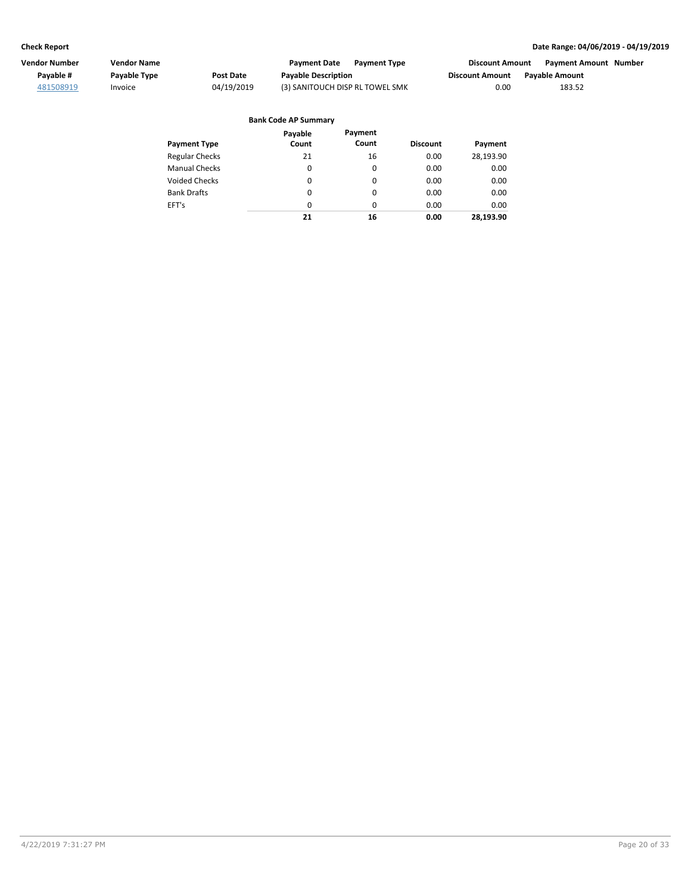| Vendor Number | <b>Vendor Name</b>  |            | <b>Payment Date</b><br><b>Payment Type</b> | Discount Amount        | Payment Amount Number |
|---------------|---------------------|------------|--------------------------------------------|------------------------|-----------------------|
| Pavable #     | <b>Pavable Type</b> | Post Date  | <b>Payable Description</b>                 | <b>Discount Amount</b> | <b>Pavable Amount</b> |
| 481508919     | Invoice             | 04/19/2019 | (3) SANITOUCH DISP RL TOWEL SMK            | 0.00                   | 183.52                |

#### Regular Checks Manual Checks Voided Checks **Discount Payment Payment Type Bank Code AP Summary** Bank Drafts EFT's 16  $\pmb{0}$ 0 0  $\pmb{0}$ 0.00 0.00 0.00 0.00 0.00 **16 0.00 Payment** 28,193.90 0.00 0.00 0.00 0.00 **28,193.90 Payable Count** 21 0 0 0 0 **21**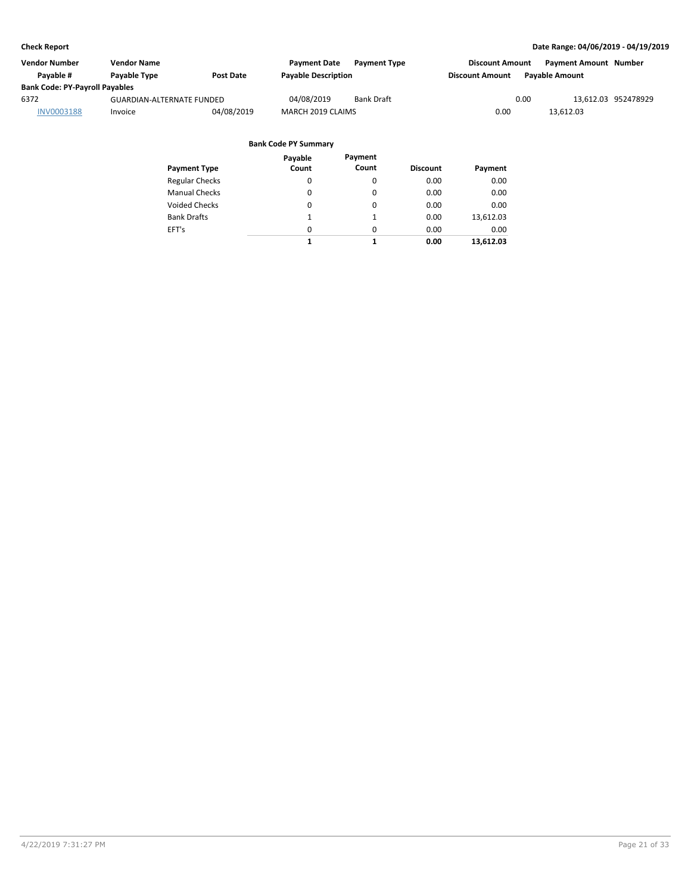| Vendor Number                         | Vendor Name                      |                  | <b>Payment Date</b>        | <b>Payment Type</b> | <b>Discount Amount</b> |                | <b>Payment Amount Number</b> |                     |
|---------------------------------------|----------------------------------|------------------|----------------------------|---------------------|------------------------|----------------|------------------------------|---------------------|
| Pavable #                             | <b>Pavable Type</b>              | <b>Post Date</b> | <b>Payable Description</b> |                     | <b>Discount Amount</b> | Pavable Amount |                              |                     |
| <b>Bank Code: PY-Payroll Payables</b> |                                  |                  |                            |                     |                        |                |                              |                     |
| 6372                                  | <b>GUARDIAN-ALTERNATE FUNDED</b> |                  | 04/08/2019                 | <b>Bank Draft</b>   |                        | 0.00           |                              | 13.612.03 952478929 |
| <b>INV0003188</b>                     | Invoice                          | 04/08/2019       | MARCH 2019 CLAIMS          |                     | 0.00                   |                | 13.612.03                    |                     |

|                       | Payable  | Payment  |                 |           |
|-----------------------|----------|----------|-----------------|-----------|
| <b>Payment Type</b>   | Count    | Count    | <b>Discount</b> | Payment   |
| <b>Regular Checks</b> | 0        | 0        | 0.00            | 0.00      |
| <b>Manual Checks</b>  | $\Omega$ | 0        | 0.00            | 0.00      |
| Voided Checks         | 0        | 0        | 0.00            | 0.00      |
| <b>Bank Drafts</b>    | 1        | 1        | 0.00            | 13,612.03 |
| EFT's                 | $\Omega$ | $\Omega$ | 0.00            | 0.00      |
|                       | 1        | 1        | 0.00            | 13,612.03 |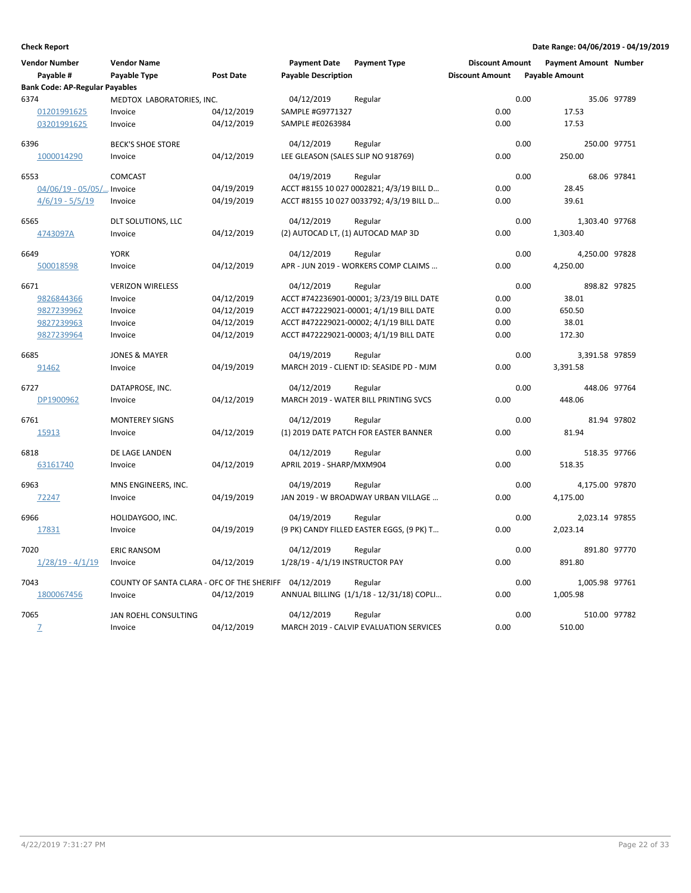| <b>Vendor Number</b><br>Payable #     | <b>Vendor Name</b><br>Payable Type         | <b>Post Date</b> | <b>Payment Date</b><br><b>Payable Description</b> | <b>Payment Type</b>                       | <b>Discount Amount</b><br><b>Discount Amount</b> | <b>Payable Amount</b> | <b>Payment Amount Number</b> |             |
|---------------------------------------|--------------------------------------------|------------------|---------------------------------------------------|-------------------------------------------|--------------------------------------------------|-----------------------|------------------------------|-------------|
| <b>Bank Code: AP-Regular Payables</b> |                                            |                  |                                                   |                                           |                                                  |                       |                              |             |
| 6374                                  | MEDTOX LABORATORIES, INC.                  |                  | 04/12/2019                                        | Regular                                   |                                                  | 0.00                  |                              | 35.06 97789 |
| 01201991625                           | Invoice                                    | 04/12/2019       | SAMPLE #G9771327                                  |                                           | 0.00                                             |                       | 17.53                        |             |
| 03201991625                           | Invoice                                    | 04/12/2019       | SAMPLE #E0263984                                  |                                           | 0.00                                             |                       | 17.53                        |             |
| 6396                                  | <b>BECK'S SHOE STORE</b>                   |                  | 04/12/2019                                        | Regular                                   |                                                  | 0.00                  | 250.00 97751                 |             |
| 1000014290                            | Invoice                                    | 04/12/2019       | LEE GLEASON (SALES SLIP NO 918769)                |                                           | 0.00                                             |                       | 250.00                       |             |
| 6553                                  | <b>COMCAST</b>                             |                  | 04/19/2019                                        | Regular                                   |                                                  | 0.00                  |                              | 68.06 97841 |
| $04/06/19 - 05/05/$                   | . Invoice                                  | 04/19/2019       |                                                   | ACCT #8155 10 027 0002821; 4/3/19 BILL D  | 0.00                                             |                       | 28.45                        |             |
| $4/6/19 - 5/5/19$                     | Invoice                                    | 04/19/2019       |                                                   | ACCT #8155 10 027 0033792; 4/3/19 BILL D  | 0.00                                             |                       | 39.61                        |             |
| 6565                                  | DLT SOLUTIONS, LLC                         |                  | 04/12/2019                                        | Regular                                   |                                                  | 0.00                  | 1,303.40 97768               |             |
| 4743097A                              | Invoice                                    | 04/12/2019       | (2) AUTOCAD LT, (1) AUTOCAD MAP 3D                |                                           | 0.00                                             |                       | 1,303.40                     |             |
| 6649                                  | <b>YORK</b>                                |                  | 04/12/2019                                        | Regular                                   |                                                  | 0.00                  | 4,250.00 97828               |             |
| 500018598                             | Invoice                                    | 04/12/2019       |                                                   | APR - JUN 2019 - WORKERS COMP CLAIMS      | 0.00                                             |                       | 4,250.00                     |             |
| 6671                                  | <b>VERIZON WIRELESS</b>                    |                  | 04/12/2019                                        | Regular                                   |                                                  | 0.00                  | 898.82 97825                 |             |
| 9826844366                            | Invoice                                    | 04/12/2019       |                                                   | ACCT #742236901-00001; 3/23/19 BILL DATE  | 0.00                                             |                       | 38.01                        |             |
| 9827239962                            | Invoice                                    | 04/12/2019       |                                                   | ACCT #472229021-00001; 4/1/19 BILL DATE   | 0.00                                             |                       | 650.50                       |             |
| 9827239963                            | Invoice                                    | 04/12/2019       |                                                   | ACCT #472229021-00002; 4/1/19 BILL DATE   | 0.00                                             |                       | 38.01                        |             |
| 9827239964                            | Invoice                                    | 04/12/2019       |                                                   | ACCT #472229021-00003; 4/1/19 BILL DATE   | 0.00                                             |                       | 172.30                       |             |
| 6685                                  | <b>JONES &amp; MAYER</b>                   |                  | 04/19/2019                                        | Regular                                   |                                                  | 0.00                  | 3,391.58 97859               |             |
| 91462                                 | Invoice                                    | 04/19/2019       |                                                   | MARCH 2019 - CLIENT ID: SEASIDE PD - MJM  | 0.00                                             |                       | 3,391.58                     |             |
| 6727                                  | DATAPROSE, INC.                            |                  | 04/12/2019                                        | Regular                                   |                                                  | 0.00                  | 448.06 97764                 |             |
| DP1900962                             | Invoice                                    | 04/12/2019       |                                                   | MARCH 2019 - WATER BILL PRINTING SVCS     | 0.00                                             |                       | 448.06                       |             |
| 6761                                  | <b>MONTEREY SIGNS</b>                      |                  | 04/12/2019                                        | Regular                                   |                                                  | 0.00                  |                              | 81.94 97802 |
| 15913                                 | Invoice                                    | 04/12/2019       |                                                   | (1) 2019 DATE PATCH FOR EASTER BANNER     | 0.00                                             |                       | 81.94                        |             |
| 6818                                  | DE LAGE LANDEN                             |                  | 04/12/2019                                        | Regular                                   |                                                  | 0.00                  | 518.35 97766                 |             |
| 63161740                              | Invoice                                    | 04/12/2019       | APRIL 2019 - SHARP/MXM904                         |                                           | 0.00                                             |                       | 518.35                       |             |
| 6963                                  | MNS ENGINEERS, INC.                        |                  | 04/19/2019                                        | Regular                                   |                                                  | 0.00                  | 4,175.00 97870               |             |
| 72247                                 | Invoice                                    | 04/19/2019       |                                                   | JAN 2019 - W BROADWAY URBAN VILLAGE       | 0.00                                             |                       | 4,175.00                     |             |
| 6966                                  | HOLIDAYGOO, INC.                           |                  | 04/19/2019                                        | Regular                                   |                                                  | 0.00                  | 2,023.14 97855               |             |
| 17831                                 | Invoice                                    | 04/19/2019       |                                                   | (9 PK) CANDY FILLED EASTER EGGS, (9 PK) T | 0.00                                             |                       | 2,023.14                     |             |
| 7020                                  | <b>ERIC RANSOM</b>                         |                  | 04/12/2019                                        | Regular                                   |                                                  | 0.00                  | 891.80 97770                 |             |
| $1/28/19 - 4/1/19$                    | Invoice                                    | 04/12/2019       | 1/28/19 - 4/1/19 INSTRUCTOR PAY                   |                                           | 0.00                                             |                       | 891.80                       |             |
| 7043                                  | COUNTY OF SANTA CLARA - OFC OF THE SHERIFF |                  | 04/12/2019                                        | Regular                                   |                                                  | 0.00                  | 1,005.98 97761               |             |
| 1800067456                            | Invoice                                    | 04/12/2019       |                                                   | ANNUAL BILLING (1/1/18 - 12/31/18) COPLI  | 0.00                                             |                       | 1,005.98                     |             |
| 7065                                  | JAN ROEHL CONSULTING                       |                  | 04/12/2019                                        | Regular                                   |                                                  | 0.00                  | 510.00 97782                 |             |
| $\overline{1}$                        | Invoice                                    | 04/12/2019       |                                                   | MARCH 2019 - CALVIP EVALUATION SERVICES   | 0.00                                             |                       | 510.00                       |             |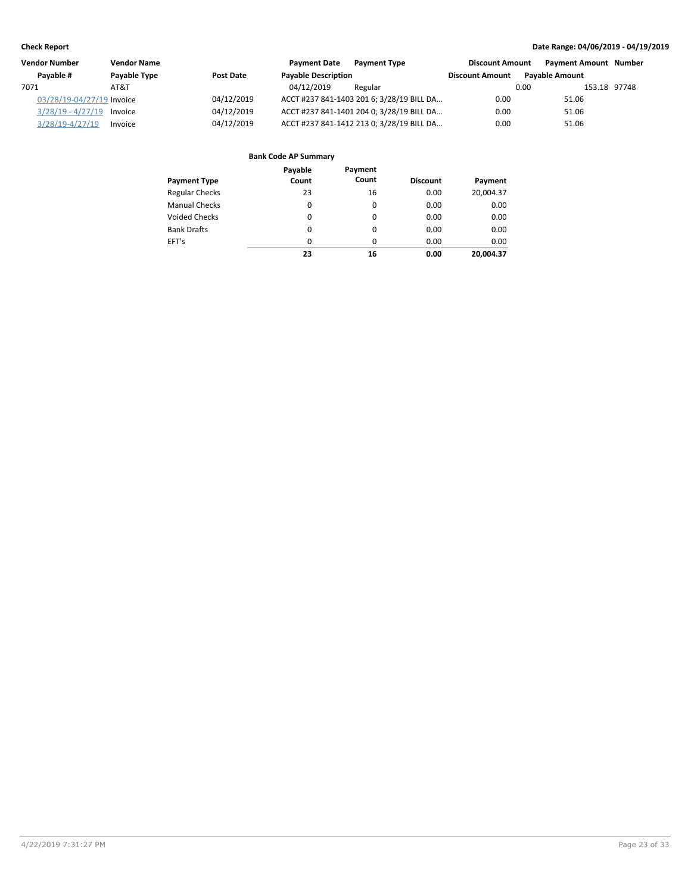| <b>Vendor Number</b>      | <b>Vendor Name</b> |                  | <b>Payment Date</b>        | <b>Payment Type</b>                       | <b>Discount Amount</b> | <b>Payment Amount Number</b> |              |
|---------------------------|--------------------|------------------|----------------------------|-------------------------------------------|------------------------|------------------------------|--------------|
| Pavable #                 | Payable Type       | <b>Post Date</b> | <b>Payable Description</b> |                                           | <b>Discount Amount</b> | <b>Pavable Amount</b>        |              |
| 7071                      | AT&T               |                  | 04/12/2019                 | Regular                                   |                        | 0.00                         | 153.18 97748 |
| 03/28/19-04/27/19 Invoice |                    | 04/12/2019       |                            | ACCT #237 841-1403 201 6; 3/28/19 BILL DA | 0.00                   | 51.06                        |              |
| $3/28/19 - 4/27/19$       | Invoice            | 04/12/2019       |                            | ACCT #237 841-1401 204 0; 3/28/19 BILL DA | 0.00                   | 51.06                        |              |
| $3/28/19 - 4/27/19$       | Invoice            | 04/12/2019       |                            | ACCT #237 841-1412 213 0; 3/28/19 BILL DA | 0.00                   | 51.06                        |              |

| <b>Payment Type</b>   | Payable<br>Count | Payment<br>Count | <b>Discount</b> | Payment   |
|-----------------------|------------------|------------------|-----------------|-----------|
| <b>Regular Checks</b> | 23               | 16               | 0.00            | 20,004.37 |
| <b>Manual Checks</b>  | 0                | 0                | 0.00            | 0.00      |
| <b>Voided Checks</b>  | 0                | $\Omega$         | 0.00            | 0.00      |
| <b>Bank Drafts</b>    | 0                | $\Omega$         | 0.00            | 0.00      |
| EFT's                 | $\Omega$         | $\Omega$         | 0.00            | 0.00      |
|                       | 23               | 16               | 0.00            | 20.004.37 |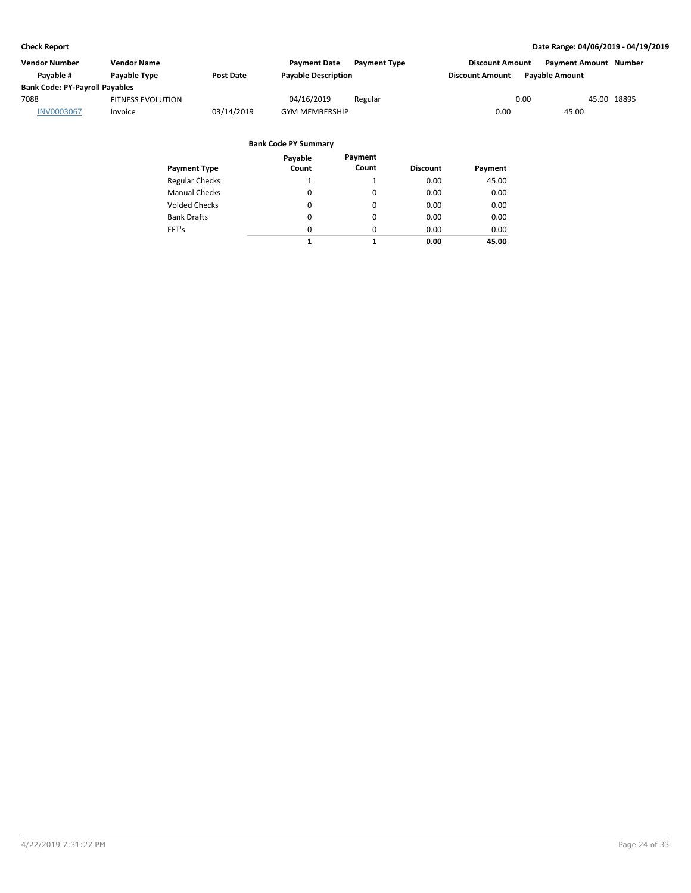| Vendor Number                         | <b>Vendor Name</b>       |            | <b>Payment Date</b>        | <b>Payment Type</b> | <b>Discount Amount</b> | <b>Payment Amount Number</b> |             |
|---------------------------------------|--------------------------|------------|----------------------------|---------------------|------------------------|------------------------------|-------------|
| Pavable #                             | <b>Pavable Type</b>      | Post Date  | <b>Payable Description</b> |                     | <b>Discount Amount</b> | <b>Pavable Amount</b>        |             |
| <b>Bank Code: PY-Payroll Payables</b> |                          |            |                            |                     |                        |                              |             |
| 7088                                  | <b>FITNESS EVOLUTION</b> |            | 04/16/2019                 | Regular             |                        | 0.00                         | 45.00 18895 |
| <b>INV0003067</b>                     | Invoice                  | 03/14/2019 | <b>GYM MEMBERSHIP</b>      |                     | 0.00                   | 45.00                        |             |

|                       | Payable  | Payment  |                 |         |
|-----------------------|----------|----------|-----------------|---------|
| <b>Payment Type</b>   | Count    | Count    | <b>Discount</b> | Payment |
| <b>Regular Checks</b> | 1        |          | 0.00            | 45.00   |
| <b>Manual Checks</b>  | 0        | 0        | 0.00            | 0.00    |
| <b>Voided Checks</b>  | 0        | 0        | 0.00            | 0.00    |
| <b>Bank Drafts</b>    | 0        | 0        | 0.00            | 0.00    |
| EFT's                 | $\Omega$ | $\Omega$ | 0.00            | 0.00    |
|                       | 1        | 1        | 0.00            | 45.00   |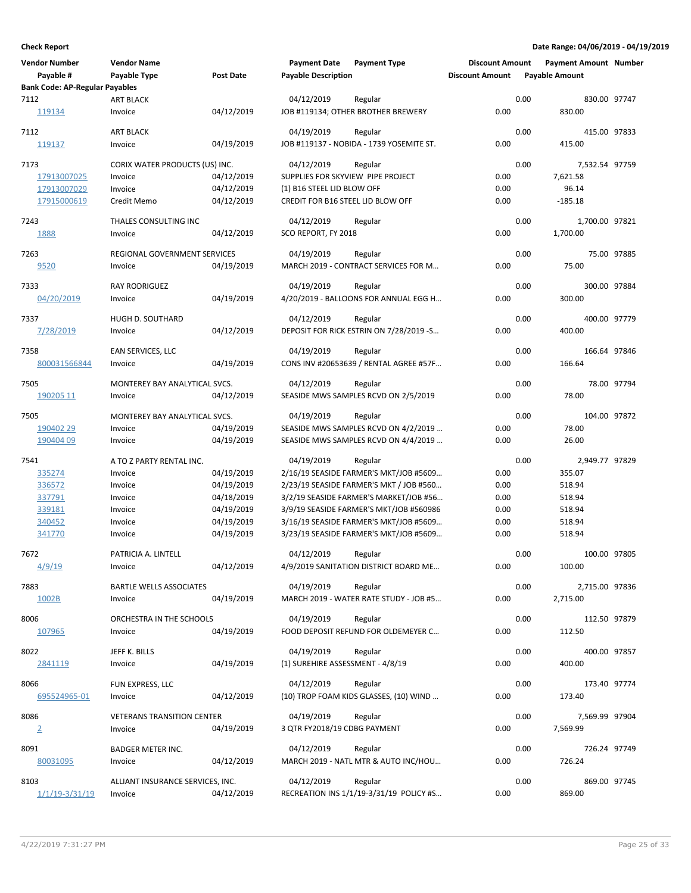| <b>Vendor Number</b><br>Payable #             | <b>Vendor Name</b><br>Payable Type | <b>Post Date</b>         | <b>Payment Date</b><br><b>Payable Description</b> | <b>Payment Type</b>                                 | <b>Discount Amount</b><br><b>Discount Amount</b> |      | <b>Payment Amount Number</b><br><b>Payable Amount</b> |             |
|-----------------------------------------------|------------------------------------|--------------------------|---------------------------------------------------|-----------------------------------------------------|--------------------------------------------------|------|-------------------------------------------------------|-------------|
| <b>Bank Code: AP-Regular Payables</b><br>7112 | <b>ART BLACK</b>                   |                          |                                                   |                                                     |                                                  | 0.00 | 830.00 97747                                          |             |
| <u> 119134</u>                                | Invoice                            | 04/12/2019               | 04/12/2019                                        | Regular<br>JOB #119134; OTHER BROTHER BREWERY       | 0.00                                             |      | 830.00                                                |             |
| 7112<br>119137                                | <b>ART BLACK</b><br>Invoice        | 04/19/2019               | 04/19/2019                                        | Regular<br>JOB #119137 - NOBIDA - 1739 YOSEMITE ST. | 0.00                                             | 0.00 | 415.00 97833<br>415.00                                |             |
|                                               |                                    |                          |                                                   |                                                     |                                                  |      |                                                       |             |
| 7173                                          | CORIX WATER PRODUCTS (US) INC.     |                          | 04/12/2019<br>SUPPLIES FOR SKYVIEW PIPE PROJECT   | Regular                                             | 0.00                                             | 0.00 | 7,532.54 97759                                        |             |
| 17913007025<br>17913007029                    | Invoice<br>Invoice                 | 04/12/2019<br>04/12/2019 | (1) B16 STEEL LID BLOW OFF                        |                                                     | 0.00                                             |      | 7,621.58<br>96.14                                     |             |
| 17915000619                                   | Credit Memo                        | 04/12/2019               | <b>CREDIT FOR B16 STEEL LID BLOW OFF</b>          |                                                     | 0.00                                             |      | $-185.18$                                             |             |
|                                               |                                    |                          |                                                   |                                                     |                                                  | 0.00 |                                                       |             |
| 7243<br>1888                                  | THALES CONSULTING INC<br>Invoice   | 04/12/2019               | 04/12/2019<br>SCO REPORT, FY 2018                 | Regular                                             | 0.00                                             |      | 1,700.00 97821<br>1,700.00                            |             |
|                                               |                                    |                          |                                                   |                                                     |                                                  |      |                                                       |             |
| 7263                                          | REGIONAL GOVERNMENT SERVICES       |                          | 04/19/2019                                        | Regular                                             |                                                  | 0.00 |                                                       | 75.00 97885 |
| 9520                                          | Invoice                            | 04/19/2019               |                                                   | MARCH 2019 - CONTRACT SERVICES FOR M                | 0.00                                             |      | 75.00                                                 |             |
| 7333                                          | <b>RAY RODRIGUEZ</b>               |                          | 04/19/2019                                        | Regular                                             |                                                  | 0.00 | 300.00 97884                                          |             |
| 04/20/2019                                    | Invoice                            | 04/19/2019               |                                                   | 4/20/2019 - BALLOONS FOR ANNUAL EGG H               | 0.00                                             |      | 300.00                                                |             |
| 7337                                          | HUGH D. SOUTHARD                   |                          | 04/12/2019                                        | Regular                                             |                                                  | 0.00 | 400.00 97779                                          |             |
| 7/28/2019                                     | Invoice                            | 04/12/2019               |                                                   | DEPOSIT FOR RICK ESTRIN ON 7/28/2019 -S             | 0.00                                             |      | 400.00                                                |             |
|                                               |                                    |                          |                                                   |                                                     |                                                  |      |                                                       |             |
| 7358                                          | EAN SERVICES, LLC                  |                          | 04/19/2019                                        | Regular                                             |                                                  | 0.00 | 166.64 97846                                          |             |
| 800031566844                                  | Invoice                            | 04/19/2019               |                                                   | CONS INV #20653639 / RENTAL AGREE #57F              | 0.00                                             |      | 166.64                                                |             |
| 7505                                          | MONTEREY BAY ANALYTICAL SVCS.      |                          | 04/12/2019                                        | Regular                                             |                                                  | 0.00 |                                                       | 78.00 97794 |
| 190205 11                                     | Invoice                            | 04/12/2019               |                                                   | SEASIDE MWS SAMPLES RCVD ON 2/5/2019                | 0.00                                             |      | 78.00                                                 |             |
| 7505                                          | MONTEREY BAY ANALYTICAL SVCS.      |                          | 04/19/2019                                        | Regular                                             |                                                  | 0.00 | 104.00 97872                                          |             |
| 190402 29                                     | Invoice                            | 04/19/2019               |                                                   | SEASIDE MWS SAMPLES RCVD ON 4/2/2019                | 0.00                                             |      | 78.00                                                 |             |
| 190404 09                                     | Invoice                            | 04/19/2019               |                                                   | SEASIDE MWS SAMPLES RCVD ON 4/4/2019                | 0.00                                             |      | 26.00                                                 |             |
| 7541                                          | A TO Z PARTY RENTAL INC.           |                          | 04/19/2019                                        | Regular                                             |                                                  | 0.00 | 2,949.77 97829                                        |             |
| 335274                                        | Invoice                            | 04/19/2019               |                                                   | 2/16/19 SEASIDE FARMER'S MKT/JOB #5609              | 0.00                                             |      | 355.07                                                |             |
| 336572                                        | Invoice                            | 04/19/2019               |                                                   | 2/23/19 SEASIDE FARMER'S MKT / JOB #560             | 0.00                                             |      | 518.94                                                |             |
| 337791                                        | Invoice                            | 04/18/2019               |                                                   | 3/2/19 SEASIDE FARMER'S MARKET/JOB #56              | 0.00                                             |      | 518.94                                                |             |
| 339181                                        | Invoice                            | 04/19/2019               |                                                   | 3/9/19 SEASIDE FARMER'S MKT/JOB #560986             | 0.00                                             |      | 518.94                                                |             |
| 340452                                        | Invoice                            | 04/19/2019               |                                                   | 3/16/19 SEASIDE FARMER'S MKT/JOB #5609              | 0.00                                             |      | 518.94                                                |             |
| 341770                                        | Invoice                            | 04/19/2019               |                                                   | 3/23/19 SEASIDE FARMER'S MKT/JOB #5609              | 0.00                                             |      | 518.94                                                |             |
| 7672                                          | PATRICIA A. LINTELL                |                          | 04/12/2019                                        | Regular                                             |                                                  | 0.00 | 100.00 97805                                          |             |
| <u>4/9/19</u>                                 | Invoice                            | 04/12/2019               |                                                   | 4/9/2019 SANITATION DISTRICT BOARD ME               | 0.00                                             |      | 100.00                                                |             |
| 7883                                          | BARTLE WELLS ASSOCIATES            |                          | 04/19/2019                                        |                                                     |                                                  | 0.00 |                                                       |             |
| 1002B                                         | Invoice                            | 04/19/2019               |                                                   | Regular<br>MARCH 2019 - WATER RATE STUDY - JOB #5   | 0.00                                             |      | 2,715.00 97836<br>2,715.00                            |             |
|                                               |                                    |                          |                                                   |                                                     |                                                  |      |                                                       |             |
| 8006                                          | ORCHESTRA IN THE SCHOOLS           |                          | 04/19/2019                                        | Regular                                             |                                                  | 0.00 | 112.50 97879                                          |             |
| 107965                                        | Invoice                            | 04/19/2019               |                                                   | FOOD DEPOSIT REFUND FOR OLDEMEYER C                 | 0.00                                             |      | 112.50                                                |             |
| 8022                                          | JEFF K. BILLS                      |                          | 04/19/2019                                        | Regular                                             |                                                  | 0.00 | 400.00 97857                                          |             |
| 2841119                                       | Invoice                            | 04/19/2019               | (1) SUREHIRE ASSESSMENT - 4/8/19                  |                                                     | 0.00                                             |      | 400.00                                                |             |
| 8066                                          | FUN EXPRESS, LLC                   |                          | 04/12/2019                                        | Regular                                             |                                                  | 0.00 | 173.40 97774                                          |             |
| 695524965-01                                  | Invoice                            | 04/12/2019               |                                                   | (10) TROP FOAM KIDS GLASSES, (10) WIND              | 0.00                                             |      | 173.40                                                |             |
|                                               |                                    |                          |                                                   |                                                     |                                                  |      |                                                       |             |
| 8086                                          | <b>VETERANS TRANSITION CENTER</b>  |                          | 04/19/2019                                        | Regular                                             |                                                  | 0.00 | 7,569.99 97904                                        |             |
| $\overline{2}$                                | Invoice                            | 04/19/2019               | 3 QTR FY2018/19 CDBG PAYMENT                      |                                                     | 0.00                                             |      | 7,569.99                                              |             |
| 8091                                          | <b>BADGER METER INC.</b>           |                          | 04/12/2019                                        | Regular                                             |                                                  | 0.00 | 726.24 97749                                          |             |
| 80031095                                      | Invoice                            | 04/12/2019               |                                                   | MARCH 2019 - NATL MTR & AUTO INC/HOU                | 0.00                                             |      | 726.24                                                |             |
| 8103                                          | ALLIANT INSURANCE SERVICES, INC.   |                          | 04/12/2019                                        | Regular                                             |                                                  | 0.00 | 869.00 97745                                          |             |
| <u>1/1/19-3/31/19</u>                         | Invoice                            | 04/12/2019               |                                                   | RECREATION INS 1/1/19-3/31/19 POLICY #S             | 0.00                                             |      | 869.00                                                |             |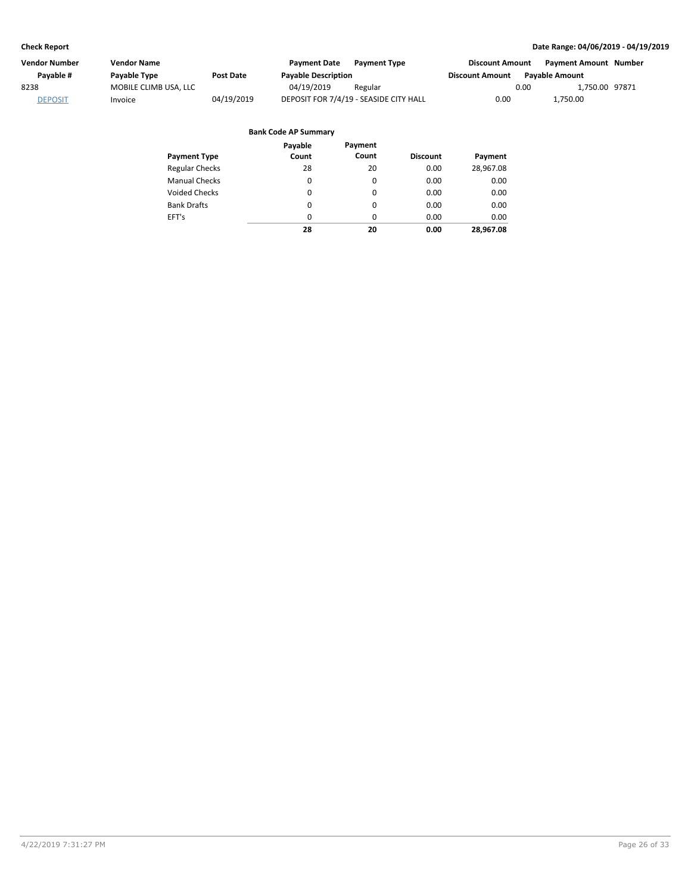| Vendor Number  | Vendor Name           |                  | <b>Payment Date</b>        | <b>Payment Type</b>                    | <b>Discount Amount</b> |      | <b>Payment Amount Number</b> |  |
|----------------|-----------------------|------------------|----------------------------|----------------------------------------|------------------------|------|------------------------------|--|
| Pavable #      | Payable Type          | <b>Post Date</b> | <b>Payable Description</b> |                                        | <b>Discount Amount</b> |      | <b>Pavable Amount</b>        |  |
| 8238           | MOBILE CLIMB USA, LLC |                  | 04/19/2019                 | Regular                                |                        | 0.00 | 1.750.00 97871               |  |
| <b>DEPOSIT</b> | Invoice               | 04/19/2019       |                            | DEPOSIT FOR 7/4/19 - SEASIDE CITY HALL | 0.00                   |      | 1.750.00                     |  |

|                       | Payable  | Payment  |                 |           |
|-----------------------|----------|----------|-----------------|-----------|
| <b>Payment Type</b>   | Count    | Count    | <b>Discount</b> | Payment   |
| <b>Regular Checks</b> | 28       | 20       | 0.00            | 28,967.08 |
| <b>Manual Checks</b>  | $\Omega$ | 0        | 0.00            | 0.00      |
| <b>Voided Checks</b>  | $\Omega$ | $\Omega$ | 0.00            | 0.00      |
| <b>Bank Drafts</b>    | $\Omega$ | $\Omega$ | 0.00            | 0.00      |
| EFT's                 | $\Omega$ | $\Omega$ | 0.00            | 0.00      |
|                       | 28       | 20       | 0.00            | 28.967.08 |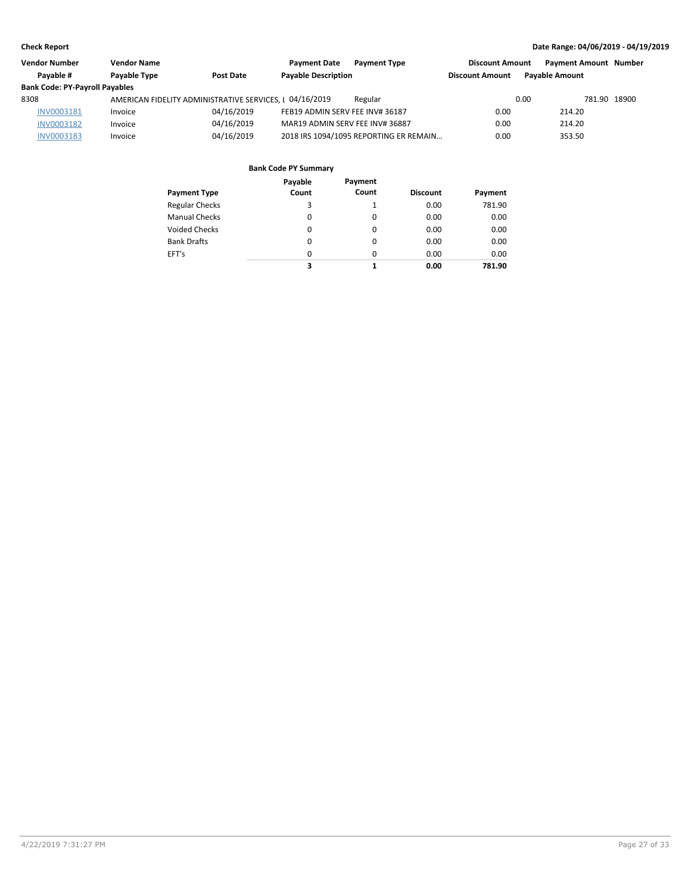| <b>Vendor Number</b>                  | <b>Vendor Name</b>  |                                                         | <b>Payment Date</b><br><b>Payment Type</b> | <b>Discount Amount</b> | <b>Payment Amount Number</b> |              |
|---------------------------------------|---------------------|---------------------------------------------------------|--------------------------------------------|------------------------|------------------------------|--------------|
| Pavable #                             | <b>Pavable Type</b> | Post Date                                               | <b>Payable Description</b>                 | <b>Discount Amount</b> | <b>Pavable Amount</b>        |              |
| <b>Bank Code: PY-Payroll Payables</b> |                     |                                                         |                                            |                        |                              |              |
| 8308                                  |                     | AMERICAN FIDELITY ADMINISTRATIVE SERVICES, I 04/16/2019 | Regular                                    |                        | 0.00                         | 781.90 18900 |
| INV0003181                            | Invoice             | 04/16/2019                                              | FEB19 ADMIN SERV FEE INV# 36187            | 0.00                   | 214.20                       |              |
| <b>INV0003182</b>                     | Invoice             | 04/16/2019                                              | MAR19 ADMIN SERV FEE INV# 36887            | 0.00                   | 214.20                       |              |
| <b>INV0003183</b>                     | Invoice             | 04/16/2019                                              | 2018 IRS 1094/1095 REPORTING ER REMAIN     | 0.00                   | 353.50                       |              |

|                       | Payable  | Payment  |                 |         |
|-----------------------|----------|----------|-----------------|---------|
| <b>Payment Type</b>   | Count    | Count    | <b>Discount</b> | Payment |
| <b>Regular Checks</b> | 3        |          | 0.00            | 781.90  |
| <b>Manual Checks</b>  | $\Omega$ | 0        | 0.00            | 0.00    |
| <b>Voided Checks</b>  | 0        | 0        | 0.00            | 0.00    |
| <b>Bank Drafts</b>    | 0        | $\Omega$ | 0.00            | 0.00    |
| EFT's                 | $\Omega$ | $\Omega$ | 0.00            | 0.00    |
|                       | 3        |          | 0.00            | 781.90  |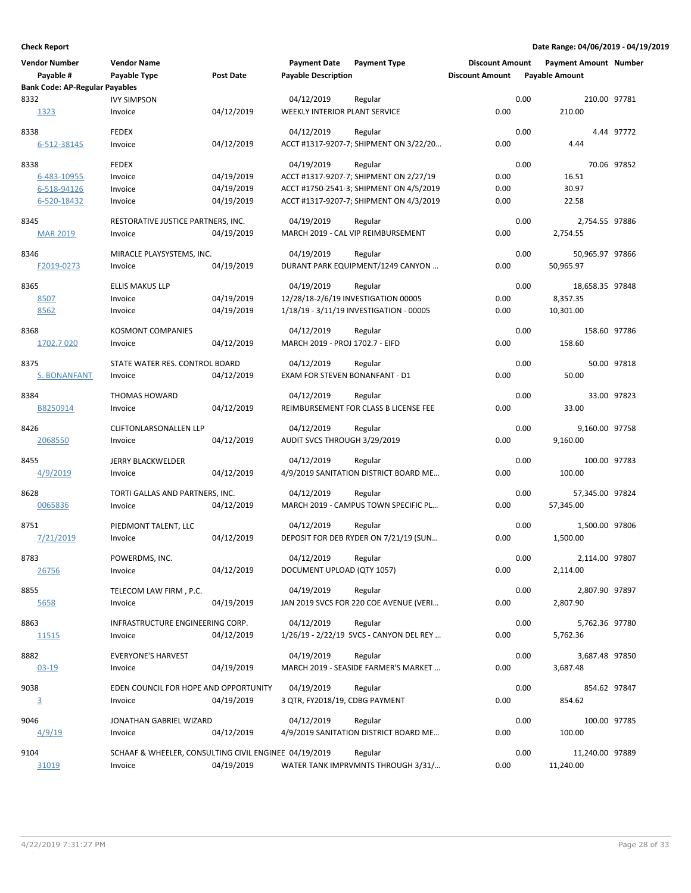| <b>Vendor Number</b>                  | <b>Vendor Name</b>                                    |                  | <b>Payment Date</b>             | <b>Payment Type</b>                     | <b>Discount Amount</b> |      | <b>Payment Amount Number</b> |             |
|---------------------------------------|-------------------------------------------------------|------------------|---------------------------------|-----------------------------------------|------------------------|------|------------------------------|-------------|
| Payable #                             | Payable Type                                          | <b>Post Date</b> | <b>Payable Description</b>      |                                         | <b>Discount Amount</b> |      | <b>Payable Amount</b>        |             |
| <b>Bank Code: AP-Regular Payables</b> |                                                       |                  |                                 |                                         |                        |      |                              |             |
| 8332                                  | <b>IVY SIMPSON</b>                                    |                  | 04/12/2019                      | Regular                                 |                        | 0.00 | 210.00 97781                 |             |
| 1323                                  | Invoice                                               | 04/12/2019       | WEEKLY INTERIOR PLANT SERVICE   |                                         | 0.00                   |      | 210.00                       |             |
| 8338                                  | <b>FEDEX</b>                                          |                  | 04/12/2019                      | Regular                                 |                        | 0.00 |                              | 4.44 97772  |
| 6-512-38145                           | Invoice                                               | 04/12/2019       |                                 | ACCT #1317-9207-7; SHIPMENT ON 3/22/20  | 0.00                   |      | 4.44                         |             |
| 8338                                  | FEDEX                                                 |                  | 04/19/2019                      | Regular                                 |                        | 0.00 |                              | 70.06 97852 |
| 6-483-10955                           | Invoice                                               | 04/19/2019       |                                 | ACCT #1317-9207-7; SHIPMENT ON 2/27/19  | 0.00                   |      | 16.51                        |             |
| 6-518-94126                           | Invoice                                               | 04/19/2019       |                                 | ACCT #1750-2541-3; SHIPMENT ON 4/5/2019 | 0.00                   |      | 30.97                        |             |
| 6-520-18432                           | Invoice                                               | 04/19/2019       |                                 | ACCT #1317-9207-7; SHIPMENT ON 4/3/2019 | 0.00                   |      | 22.58                        |             |
| 8345                                  | RESTORATIVE JUSTICE PARTNERS, INC.                    |                  | 04/19/2019                      | Regular                                 |                        | 0.00 | 2,754.55 97886               |             |
| <b>MAR 2019</b>                       | Invoice                                               | 04/19/2019       |                                 | MARCH 2019 - CAL VIP REIMBURSEMENT      | 0.00                   |      | 2,754.55                     |             |
| 8346                                  | MIRACLE PLAYSYSTEMS, INC.                             |                  | 04/19/2019                      | Regular                                 |                        | 0.00 | 50,965.97 97866              |             |
| F2019-0273                            | Invoice                                               | 04/19/2019       |                                 | DURANT PARK EQUIPMENT/1249 CANYON       | 0.00                   |      | 50,965.97                    |             |
| 8365                                  | <b>ELLIS MAKUS LLP</b>                                |                  | 04/19/2019                      | Regular                                 |                        | 0.00 | 18,658.35 97848              |             |
| 8507                                  | Invoice                                               | 04/19/2019       |                                 | 12/28/18-2/6/19 INVESTIGATION 00005     | 0.00                   |      | 8,357.35                     |             |
| 8562                                  | Invoice                                               | 04/19/2019       |                                 | 1/18/19 - 3/11/19 INVESTIGATION - 00005 | 0.00                   |      | 10,301.00                    |             |
| 8368                                  | <b>KOSMONT COMPANIES</b>                              |                  | 04/12/2019                      | Regular                                 |                        | 0.00 | 158.60 97786                 |             |
| 1702.7 020                            | Invoice                                               | 04/12/2019       | MARCH 2019 - PROJ 1702.7 - EIFD |                                         | 0.00                   |      | 158.60                       |             |
| 8375                                  | STATE WATER RES. CONTROL BOARD                        |                  | 04/12/2019                      | Regular                                 |                        | 0.00 |                              | 50.00 97818 |
| <b>S. BONANFANT</b>                   | Invoice                                               | 04/12/2019       | EXAM FOR STEVEN BONANFANT - D1  |                                         | 0.00                   |      | 50.00                        |             |
| 8384                                  | THOMAS HOWARD                                         |                  | 04/12/2019                      | Regular                                 |                        | 0.00 |                              | 33.00 97823 |
| B8250914                              | Invoice                                               | 04/12/2019       |                                 | REIMBURSEMENT FOR CLASS B LICENSE FEE   | 0.00                   |      | 33.00                        |             |
| 8426                                  | CLIFTONLARSONALLEN LLP                                |                  | 04/12/2019                      | Regular                                 |                        | 0.00 | 9,160.00 97758               |             |
| 2068550                               | Invoice                                               | 04/12/2019       | AUDIT SVCS THROUGH 3/29/2019    |                                         | 0.00                   |      | 9,160.00                     |             |
| 8455                                  | JERRY BLACKWELDER                                     |                  | 04/12/2019                      | Regular                                 |                        | 0.00 | 100.00 97783                 |             |
| 4/9/2019                              | Invoice                                               | 04/12/2019       |                                 | 4/9/2019 SANITATION DISTRICT BOARD ME   | 0.00                   |      | 100.00                       |             |
| 8628                                  | TORTI GALLAS AND PARTNERS, INC.                       |                  | 04/12/2019                      | Regular                                 |                        | 0.00 | 57,345.00 97824              |             |
| 0065836                               | Invoice                                               | 04/12/2019       |                                 | MARCH 2019 - CAMPUS TOWN SPECIFIC PL    | 0.00                   |      | 57,345.00                    |             |
| 8751                                  | PIEDMONT TALENT, LLC                                  |                  | 04/12/2019                      | Regular                                 |                        | 0.00 | 1,500.00 97806               |             |
| 7/21/2019                             | Invoice                                               | 04/12/2019       |                                 | DEPOSIT FOR DEB RYDER ON 7/21/19 (SUN   | 0.00                   |      | 1,500.00                     |             |
| 8783                                  | POWERDMS, INC.                                        |                  | 04/12/2019                      | Regular                                 |                        | 0.00 | 2,114.00 97807               |             |
| 26756                                 | Invoice                                               | 04/12/2019       | DOCUMENT UPLOAD (QTY 1057)      |                                         | 0.00                   |      | 2,114.00                     |             |
| 8855                                  | TELECOM LAW FIRM, P.C.                                |                  | 04/19/2019                      | Regular                                 |                        | 0.00 | 2,807.90 97897               |             |
| 5658                                  | Invoice                                               | 04/19/2019       |                                 | JAN 2019 SVCS FOR 220 COE AVENUE (VERI  | 0.00                   |      | 2,807.90                     |             |
| 8863                                  | INFRASTRUCTURE ENGINEERING CORP.                      |                  | 04/12/2019                      | Regular                                 |                        | 0.00 | 5,762.36 97780               |             |
| <u> 11515</u>                         | Invoice                                               | 04/12/2019       |                                 | 1/26/19 - 2/22/19 SVCS - CANYON DEL REY | 0.00                   |      | 5,762.36                     |             |
| 8882                                  | <b>EVERYONE'S HARVEST</b>                             |                  | 04/19/2019                      | Regular                                 |                        | 0.00 | 3,687.48 97850               |             |
| $03-19$                               | Invoice                                               | 04/19/2019       |                                 | MARCH 2019 - SEASIDE FARMER'S MARKET    | 0.00                   |      | 3,687.48                     |             |
| 9038                                  | EDEN COUNCIL FOR HOPE AND OPPORTUNITY                 |                  | 04/19/2019                      | Regular                                 |                        | 0.00 | 854.62 97847                 |             |
| $\overline{3}$                        | Invoice                                               | 04/19/2019       | 3 QTR, FY2018/19, CDBG PAYMENT  |                                         | 0.00                   |      | 854.62                       |             |
| 9046                                  | JONATHAN GABRIEL WIZARD                               |                  | 04/12/2019                      | Regular                                 |                        | 0.00 | 100.00 97785                 |             |
| 4/9/19                                | Invoice                                               | 04/12/2019       |                                 | 4/9/2019 SANITATION DISTRICT BOARD ME   | 0.00                   |      | 100.00                       |             |
| 9104                                  | SCHAAF & WHEELER, CONSULTING CIVIL ENGINEE 04/19/2019 |                  |                                 | Regular                                 |                        | 0.00 | 11,240.00 97889              |             |
| 31019                                 | Invoice                                               | 04/19/2019       |                                 | WATER TANK IMPRVMNTS THROUGH 3/31/      | 0.00                   |      | 11,240.00                    |             |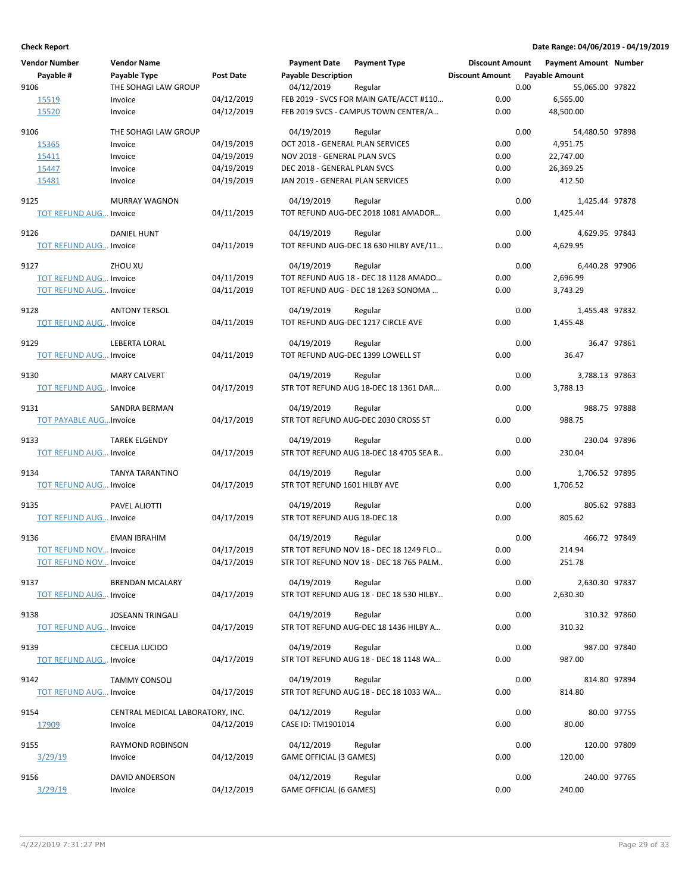|      | <b>Vendor Number</b>          | <b>Vendor Name</b>               |                  | <b>Payment Date</b>              | <b>Payment Type</b>                            | <b>Discount Amount</b> |      | <b>Payment Amount Number</b> |             |
|------|-------------------------------|----------------------------------|------------------|----------------------------------|------------------------------------------------|------------------------|------|------------------------------|-------------|
|      | Payable #                     | Payable Type                     | <b>Post Date</b> | <b>Payable Description</b>       |                                                | <b>Discount Amount</b> |      | <b>Payable Amount</b>        |             |
| 9106 |                               | THE SOHAGI LAW GROUP             |                  | 04/12/2019                       | Regular                                        |                        | 0.00 | 55,065.00 97822              |             |
|      | 15519                         | Invoice                          | 04/12/2019       |                                  | FEB 2019 - SVCS FOR MAIN GATE/ACCT #110        | 0.00                   |      | 6,565.00                     |             |
|      | 15520                         | Invoice                          | 04/12/2019       |                                  | FEB 2019 SVCS - CAMPUS TOWN CENTER/A           | 0.00                   |      | 48,500.00                    |             |
|      |                               |                                  |                  |                                  |                                                |                        |      |                              |             |
| 9106 |                               | THE SOHAGI LAW GROUP             |                  | 04/19/2019                       | Regular                                        |                        | 0.00 | 54,480.50 97898              |             |
|      | 15365                         | Invoice                          | 04/19/2019       | OCT 2018 - GENERAL PLAN SERVICES |                                                | 0.00                   |      | 4,951.75                     |             |
|      | 15411                         | Invoice                          | 04/19/2019       | NOV 2018 - GENERAL PLAN SVCS     |                                                | 0.00                   |      | 22,747.00                    |             |
|      | 15447                         | Invoice                          | 04/19/2019       | DEC 2018 - GENERAL PLAN SVCS     |                                                | 0.00                   |      | 26,369.25                    |             |
|      | 15481                         | Invoice                          | 04/19/2019       | JAN 2019 - GENERAL PLAN SERVICES |                                                | 0.00                   |      | 412.50                       |             |
|      |                               |                                  |                  |                                  |                                                |                        |      |                              |             |
| 9125 |                               | <b>MURRAY WAGNON</b>             |                  | 04/19/2019                       | Regular<br>TOT REFUND AUG-DEC 2018 1081 AMADOR | 0.00                   | 0.00 | 1,425.44 97878               |             |
|      | <b>TOT REFUND AUG Invoice</b> |                                  | 04/11/2019       |                                  |                                                |                        |      | 1,425.44                     |             |
| 9126 |                               | <b>DANIEL HUNT</b>               |                  | 04/19/2019                       | Regular                                        |                        | 0.00 | 4,629.95 97843               |             |
|      | <b>TOT REFUND AUG Invoice</b> |                                  | 04/11/2019       |                                  | TOT REFUND AUG-DEC 18 630 HILBY AVE/11         | 0.00                   |      | 4,629.95                     |             |
|      |                               |                                  |                  |                                  |                                                |                        |      |                              |             |
| 9127 |                               | ZHOU XU                          |                  | 04/19/2019                       | Regular                                        |                        | 0.00 | 6,440.28 97906               |             |
|      | <b>TOT REFUND AUG Invoice</b> |                                  | 04/11/2019       |                                  | TOT REFUND AUG 18 - DEC 18 1128 AMADO          | 0.00                   |      | 2,696.99                     |             |
|      | <b>TOT REFUND AUG Invoice</b> |                                  | 04/11/2019       |                                  | TOT REFUND AUG - DEC 18 1263 SONOMA            | 0.00                   |      | 3,743.29                     |             |
| 9128 |                               | <b>ANTONY TERSOL</b>             |                  | 04/19/2019                       | Regular                                        |                        | 0.00 | 1,455.48 97832               |             |
|      | <b>TOT REFUND AUG Invoice</b> |                                  | 04/11/2019       |                                  | TOT REFUND AUG-DEC 1217 CIRCLE AVE             | 0.00                   |      | 1,455.48                     |             |
|      |                               |                                  |                  |                                  |                                                |                        |      |                              |             |
| 9129 |                               | LEBERTA LORAL                    |                  | 04/19/2019                       | Regular                                        |                        | 0.00 |                              | 36.47 97861 |
|      | <b>TOT REFUND AUG Invoice</b> |                                  | 04/11/2019       |                                  | TOT REFUND AUG-DEC 1399 LOWELL ST              | 0.00                   |      | 36.47                        |             |
|      |                               |                                  |                  |                                  |                                                |                        |      |                              |             |
| 9130 |                               | <b>MARY CALVERT</b>              |                  | 04/19/2019                       | Regular                                        |                        | 0.00 | 3,788.13 97863               |             |
|      | <b>TOT REFUND AUG Invoice</b> |                                  | 04/17/2019       |                                  | STR TOT REFUND AUG 18-DEC 18 1361 DAR          | 0.00                   |      | 3,788.13                     |             |
| 9131 |                               | SANDRA BERMAN                    |                  | 04/19/2019                       | Regular                                        |                        | 0.00 | 988.75 97888                 |             |
|      | <b>TOT PAYABLE AUGInvoice</b> |                                  | 04/17/2019       |                                  | STR TOT REFUND AUG-DEC 2030 CROSS ST           | 0.00                   |      | 988.75                       |             |
|      |                               |                                  |                  |                                  |                                                |                        |      |                              |             |
| 9133 |                               | <b>TAREK ELGENDY</b>             |                  | 04/19/2019                       | Regular                                        |                        | 0.00 | 230.04 97896                 |             |
|      | <b>TOT REFUND AUG Invoice</b> |                                  | 04/17/2019       |                                  | STR TOT REFUND AUG 18-DEC 18 4705 SEA R        | 0.00                   |      | 230.04                       |             |
|      |                               |                                  |                  |                                  |                                                |                        |      |                              |             |
| 9134 |                               | <b>TANYA TARANTINO</b>           |                  | 04/19/2019                       | Regular                                        |                        | 0.00 | 1,706.52 97895               |             |
|      | <b>TOT REFUND AUG Invoice</b> |                                  | 04/17/2019       | STR TOT REFUND 1601 HILBY AVE    |                                                | 0.00                   |      | 1,706.52                     |             |
| 9135 |                               | PAVEL ALIOTTI                    |                  | 04/19/2019                       | Regular                                        |                        | 0.00 | 805.62 97883                 |             |
|      | <b>TOT REFUND AUG Invoice</b> |                                  | 04/17/2019       | STR TOT REFUND AUG 18-DEC 18     |                                                | 0.00                   |      | 805.62                       |             |
|      |                               |                                  |                  |                                  |                                                |                        |      |                              |             |
| 9136 |                               | <b>EMAN IBRAHIM</b>              |                  | 04/19/2019                       | Regular                                        |                        | 0.00 | 466.72 97849                 |             |
|      | <b>TOT REFUND NOV Invoice</b> |                                  | 04/17/2019       |                                  | STR TOT REFUND NOV 18 - DEC 18 1249 FLO        | 0.00                   |      | 214.94                       |             |
|      | <b>TOT REFUND NOV Invoice</b> |                                  | 04/17/2019       |                                  | STR TOT REFUND NOV 18 - DEC 18 765 PALM        | 0.00                   |      | 251.78                       |             |
| 9137 |                               | <b>BRENDAN MCALARY</b>           |                  | 04/19/2019                       | Regular                                        |                        | 0.00 | 2,630.30 97837               |             |
|      | <b>TOT REFUND AUG Invoice</b> |                                  | 04/17/2019       |                                  | STR TOT REFUND AUG 18 - DEC 18 530 HILBY       | 0.00                   |      | 2,630.30                     |             |
|      |                               |                                  |                  |                                  |                                                |                        |      |                              |             |
| 9138 |                               | <b>JOSEANN TRINGALI</b>          |                  | 04/19/2019                       | Regular                                        |                        | 0.00 | 310.32 97860                 |             |
|      | <b>TOT REFUND AUG Invoice</b> |                                  | 04/17/2019       |                                  | STR TOT REFUND AUG-DEC 18 1436 HILBY A         | 0.00                   |      | 310.32                       |             |
|      |                               |                                  |                  |                                  |                                                |                        |      |                              |             |
| 9139 |                               | <b>CECELIA LUCIDO</b>            |                  | 04/19/2019                       | Regular                                        |                        | 0.00 | 987.00 97840                 |             |
|      | <b>TOT REFUND AUG Invoice</b> |                                  | 04/17/2019       |                                  | STR TOT REFUND AUG 18 - DEC 18 1148 WA         | 0.00                   |      | 987.00                       |             |
| 9142 |                               | <b>TAMMY CONSOLI</b>             |                  | 04/19/2019                       | Regular                                        |                        | 0.00 | 814.80 97894                 |             |
|      | <b>TOT REFUND AUG Invoice</b> |                                  | 04/17/2019       |                                  | STR TOT REFUND AUG 18 - DEC 18 1033 WA         | 0.00                   |      | 814.80                       |             |
|      |                               |                                  |                  |                                  |                                                |                        |      |                              |             |
| 9154 |                               | CENTRAL MEDICAL LABORATORY, INC. |                  | 04/12/2019                       | Regular                                        |                        | 0.00 |                              | 80.00 97755 |
|      | 17909                         | Invoice                          | 04/12/2019       | CASE ID: TM1901014               |                                                | 0.00                   |      | 80.00                        |             |
| 9155 |                               | RAYMOND ROBINSON                 |                  | 04/12/2019                       | Regular                                        |                        | 0.00 | 120.00 97809                 |             |
|      | 3/29/19                       | Invoice                          | 04/12/2019       | GAME OFFICIAL (3 GAMES)          |                                                | 0.00                   |      | 120.00                       |             |
|      |                               |                                  |                  |                                  |                                                |                        |      |                              |             |
| 9156 |                               | DAVID ANDERSON                   |                  | 04/12/2019                       | Regular                                        |                        | 0.00 | 240.00 97765                 |             |
|      | 3/29/19                       | Invoice                          | 04/12/2019       | GAME OFFICIAL (6 GAMES)          |                                                | 0.00                   |      | 240.00                       |             |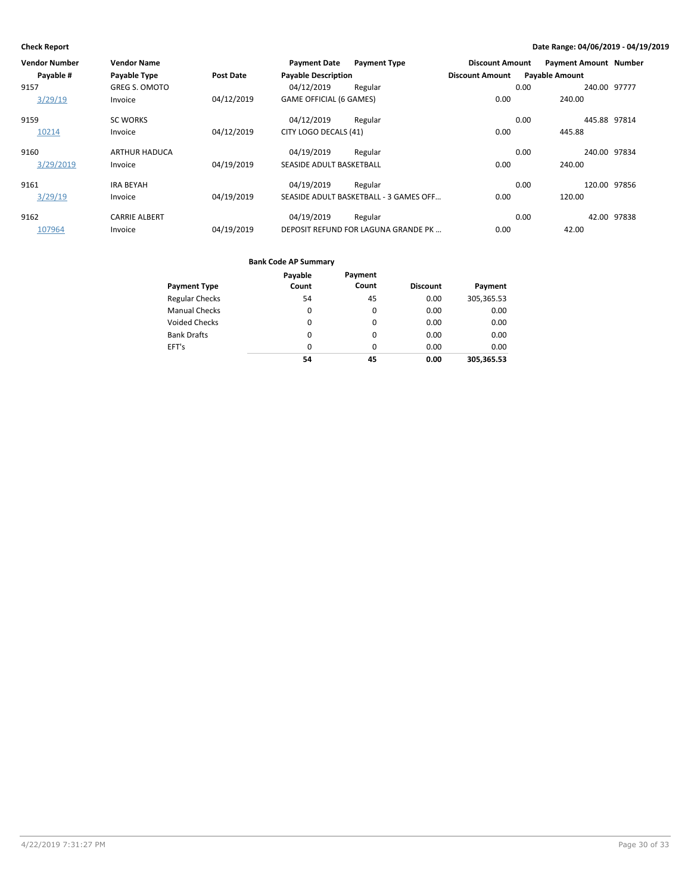| Vendor Number | <b>Vendor Name</b>   |                  | <b>Payment Date</b>        | <b>Payment Type</b>                    | <b>Discount Amount</b> | <b>Payment Amount Number</b> |              |
|---------------|----------------------|------------------|----------------------------|----------------------------------------|------------------------|------------------------------|--------------|
| Payable #     | Payable Type         | <b>Post Date</b> | <b>Payable Description</b> |                                        | <b>Discount Amount</b> | <b>Payable Amount</b>        |              |
| 9157          | <b>GREG S. OMOTO</b> |                  | 04/12/2019                 | Regular                                |                        | 0.00                         | 240.00 97777 |
| 3/29/19       | Invoice              | 04/12/2019       | GAME OFFICIAL (6 GAMES)    |                                        | 0.00                   | 240.00                       |              |
| 9159          | <b>SC WORKS</b>      |                  | 04/12/2019                 | Regular                                |                        | 0.00                         | 445.88 97814 |
| 10214         | Invoice              | 04/12/2019       | CITY LOGO DECALS (41)      |                                        | 0.00                   | 445.88                       |              |
| 9160          | <b>ARTHUR HADUCA</b> |                  | 04/19/2019                 | Regular                                |                        | 0.00                         | 240.00 97834 |
| 3/29/2019     | Invoice              | 04/19/2019       | SEASIDE ADULT BASKETBALL   |                                        | 0.00                   | 240.00                       |              |
| 9161          | <b>IRA BEYAH</b>     |                  | 04/19/2019                 | Regular                                |                        | 0.00                         | 120.00 97856 |
| 3/29/19       | Invoice              | 04/19/2019       |                            | SEASIDE ADULT BASKETBALL - 3 GAMES OFF | 0.00                   | 120.00                       |              |
| 9162          | <b>CARRIE ALBERT</b> |                  | 04/19/2019                 | Regular                                |                        | 0.00                         | 42.00 97838  |
| 107964        | Invoice              | 04/19/2019       |                            | DEPOSIT REFUND FOR LAGUNA GRANDE PK    | 0.00                   | 42.00                        |              |

|                       | Payable  | Payment  |                 |            |
|-----------------------|----------|----------|-----------------|------------|
| <b>Payment Type</b>   | Count    | Count    | <b>Discount</b> | Payment    |
| <b>Regular Checks</b> | 54       | 45       | 0.00            | 305,365.53 |
| <b>Manual Checks</b>  | 0        | 0        | 0.00            | 0.00       |
| <b>Voided Checks</b>  | 0        | 0        | 0.00            | 0.00       |
| <b>Bank Drafts</b>    | $\Omega$ | $\Omega$ | 0.00            | 0.00       |
| EFT's                 | 0        | 0        | 0.00            | 0.00       |
|                       | 54       | 45       | 0.00            | 305,365.53 |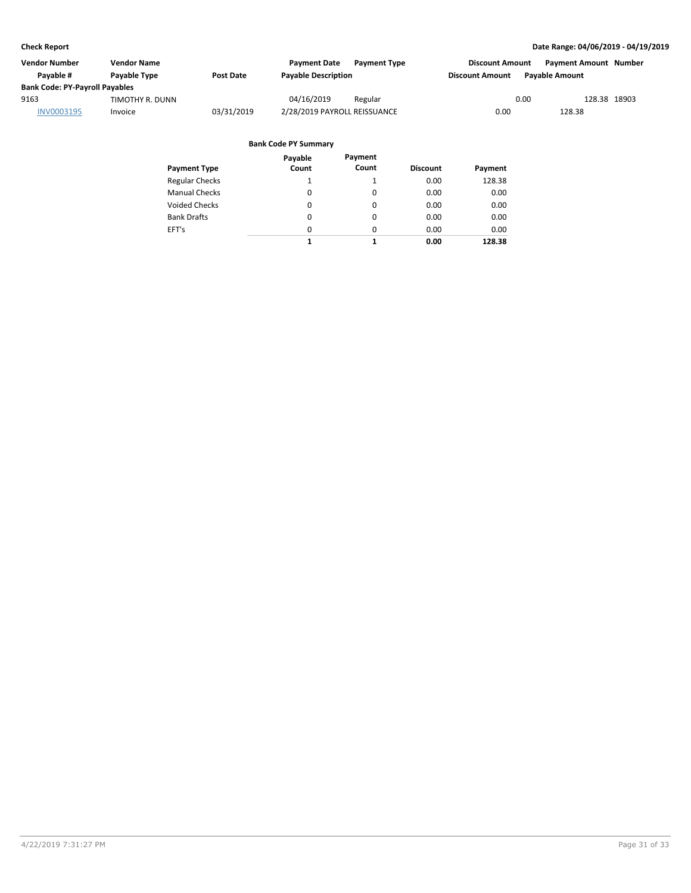| Vendor Number                         | <b>Vendor Name</b>  |                  | <b>Payment Date</b><br><b>Payment Type</b> | <b>Discount Amount</b>                          | <b>Payment Amount Number</b> |
|---------------------------------------|---------------------|------------------|--------------------------------------------|-------------------------------------------------|------------------------------|
| Pavable #                             | <b>Pavable Type</b> | <b>Post Date</b> | <b>Payable Description</b>                 | <b>Pavable Amount</b><br><b>Discount Amount</b> |                              |
| <b>Bank Code: PY-Payroll Payables</b> |                     |                  |                                            |                                                 |                              |
| 9163                                  | TIMOTHY R. DUNN     |                  | 04/16/2019<br>Regular                      | 0.00                                            | 128.38 18903                 |
| INV0003195                            | Invoice             | 03/31/2019       | 2/28/2019 PAYROLL REISSUANCE               | 0.00                                            | 128.38                       |

| Payment Type          | Payable<br>Count | Payment<br>Count | <b>Discount</b> | Payment |
|-----------------------|------------------|------------------|-----------------|---------|
| <b>Regular Checks</b> | 1                |                  | 0.00            | 128.38  |
| <b>Manual Checks</b>  | $\Omega$         | 0                | 0.00            | 0.00    |
| <b>Voided Checks</b>  | 0                | 0                | 0.00            | 0.00    |
| <b>Bank Drafts</b>    | 0                | 0                | 0.00            | 0.00    |
| EFT's                 | $\Omega$         | 0                | 0.00            | 0.00    |
|                       | 1                | 1                | 0.00            | 128.38  |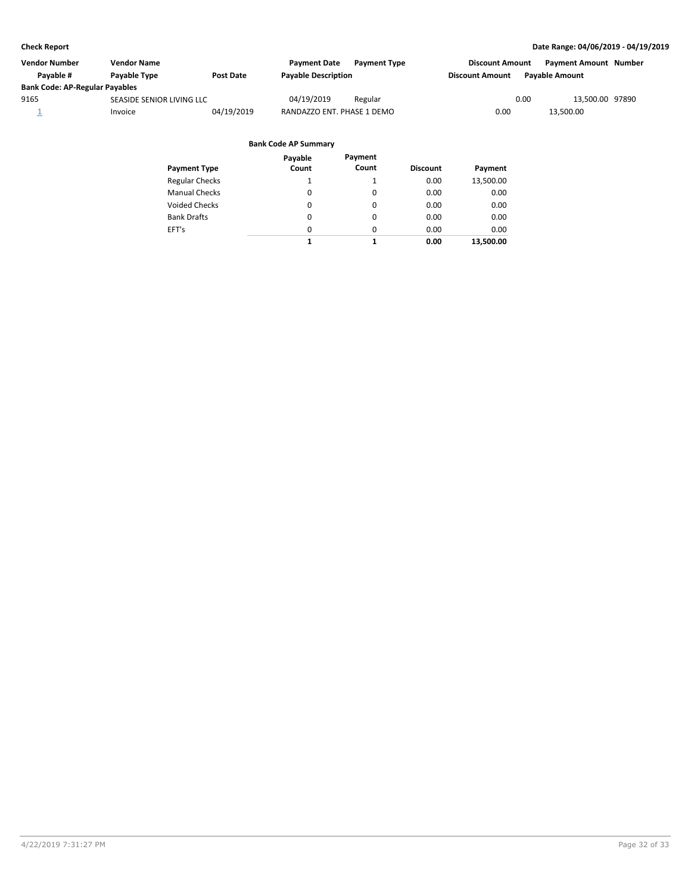| Vendor Number                         | <b>Vendor Name</b>        |            | <b>Payment Date</b>        | <b>Payment Type</b> | <b>Discount Amount</b> | <b>Payment Amount Number</b> |  |
|---------------------------------------|---------------------------|------------|----------------------------|---------------------|------------------------|------------------------------|--|
| Pavable #                             | Payable Type              | Post Date  | <b>Payable Description</b> |                     | <b>Discount Amount</b> | <b>Pavable Amount</b>        |  |
| <b>Bank Code: AP-Regular Payables</b> |                           |            |                            |                     |                        |                              |  |
| 9165                                  | SEASIDE SENIOR LIVING LLC |            | 04/19/2019                 | Regular             |                        | 0.00<br>13.500.00 97890      |  |
|                                       | Invoice                   | 04/19/2019 | RANDAZZO ENT. PHASE 1 DEMO |                     | 0.00                   | 13.500.00                    |  |

| <b>Payment Type</b>   | Payable<br>Count | Payment<br>Count | <b>Discount</b> | Payment   |
|-----------------------|------------------|------------------|-----------------|-----------|
| <b>Regular Checks</b> | 1                | 1                | 0.00            | 13,500.00 |
| <b>Manual Checks</b>  | 0                | 0                | 0.00            | 0.00      |
| <b>Voided Checks</b>  | 0                | 0                | 0.00            | 0.00      |
| <b>Bank Drafts</b>    | 0                | 0                | 0.00            | 0.00      |
| EFT's                 | $\Omega$         | $\Omega$         | 0.00            | 0.00      |
|                       | 1                | 1                | 0.00            | 13,500.00 |